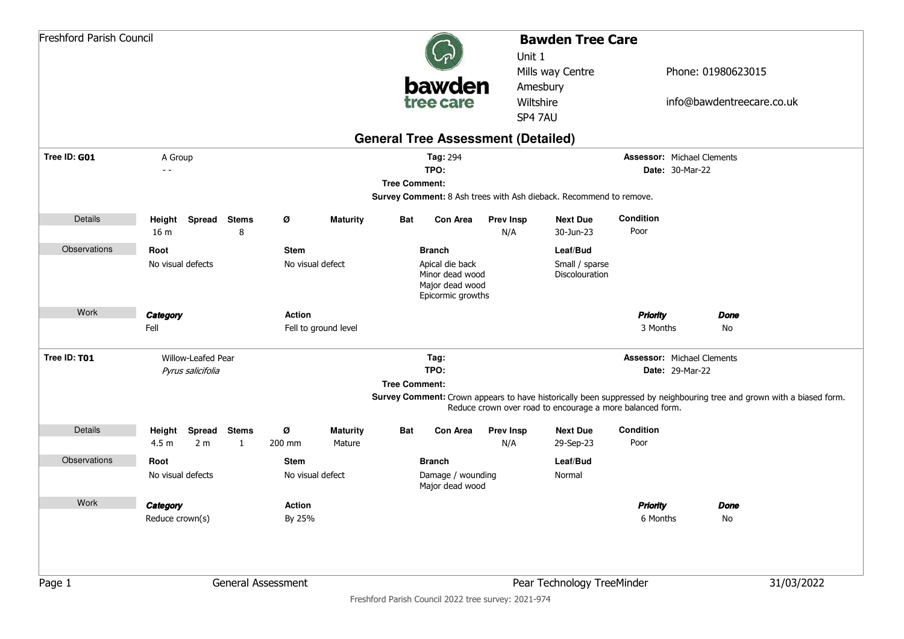|              | <b>Freshford Parish Council</b> |                     |   |                    |                      |                      |                                                                            | <b>Bawden Tree Care</b><br>Unit 1 |                                                                    |                                   |                    |                                                                                                                       |
|--------------|---------------------------------|---------------------|---|--------------------|----------------------|----------------------|----------------------------------------------------------------------------|-----------------------------------|--------------------------------------------------------------------|-----------------------------------|--------------------|-----------------------------------------------------------------------------------------------------------------------|
|              |                                 |                     |   |                    |                      |                      |                                                                            |                                   | Mills way Centre                                                   |                                   | Phone: 01980623015 |                                                                                                                       |
|              |                                 |                     |   |                    |                      |                      | bawden                                                                     |                                   | Amesbury                                                           |                                   |                    |                                                                                                                       |
|              |                                 |                     |   |                    |                      |                      | tree care                                                                  |                                   | Wiltshire<br>SP4 7AU                                               |                                   |                    | info@bawdentreecare.co.uk                                                                                             |
|              |                                 |                     |   |                    |                      |                      |                                                                            |                                   |                                                                    |                                   |                    |                                                                                                                       |
| Tree ID: G01 | A Group                         |                     |   |                    |                      |                      | <b>General Tree Assessment (Detailed)</b><br>Tag: 294                      |                                   |                                                                    | <b>Assessor: Michael Clements</b> |                    |                                                                                                                       |
|              | $ -$                            |                     |   |                    |                      |                      | TPO:                                                                       |                                   |                                                                    | <b>Date: 30-Mar-22</b>            |                    |                                                                                                                       |
|              |                                 |                     |   |                    |                      | <b>Tree Comment:</b> |                                                                            |                                   |                                                                    |                                   |                    |                                                                                                                       |
|              |                                 |                     |   |                    |                      |                      |                                                                            |                                   | Survey Comment: 8 Ash trees with Ash dieback. Recommend to remove. |                                   |                    |                                                                                                                       |
| Details      |                                 | Height Spread Stems |   | Ø                  | <b>Maturity</b>      | Bat                  | Con Area                                                                   | <b>Prev Insp</b>                  | <b>Next Due</b>                                                    | Condition                         |                    |                                                                                                                       |
|              | 16 <sub>m</sub>                 |                     | 8 |                    |                      |                      |                                                                            | N/A                               | 30-Jun-23                                                          | Poor                              |                    |                                                                                                                       |
| Observations | Root                            |                     |   | <b>Stem</b>        |                      |                      | <b>Branch</b>                                                              |                                   | Leaf/Bud                                                           |                                   |                    |                                                                                                                       |
|              | No visual defects               |                     |   | No visual defect   |                      |                      | Apical die back<br>Minor dead wood<br>Major dead wood<br>Epicormic growths |                                   | Small / sparse<br>Discolouration                                   |                                   |                    |                                                                                                                       |
| Work         | Category                        |                     |   | <b>Action</b>      |                      |                      |                                                                            |                                   |                                                                    | <b>Priority</b>                   | <b>Done</b>        |                                                                                                                       |
|              | Fell                            |                     |   |                    | Fell to ground level |                      |                                                                            |                                   |                                                                    | 3 Months                          | No                 |                                                                                                                       |
| Tree ID: T01 |                                 | Willow-Leafed Pear  |   |                    |                      |                      | Tag:                                                                       |                                   |                                                                    | <b>Assessor: Michael Clements</b> |                    |                                                                                                                       |
|              |                                 | Pyrus salicifolia   |   |                    |                      |                      | TPO:                                                                       |                                   |                                                                    | <b>Date: 29-Mar-22</b>            |                    |                                                                                                                       |
|              |                                 |                     |   |                    |                      | <b>Tree Comment:</b> |                                                                            |                                   |                                                                    |                                   |                    |                                                                                                                       |
|              |                                 |                     |   |                    |                      |                      |                                                                            |                                   | Reduce crown over road to encourage a more balanced form.          |                                   |                    | Survey Comment: Crown appears to have historically been suppressed by neighbouring tree and grown with a biased form. |
| Details      | Height                          | Spread Stems        |   | Ø                  | <b>Maturity</b>      | Bat                  | Con Area                                                                   | <b>Prev Insp</b>                  | <b>Next Due</b>                                                    | Condition                         |                    |                                                                                                                       |
|              | 4.5 <sub>m</sub>                | 2 <sub>m</sub>      | 1 | 200 mm             | Mature               |                      |                                                                            | N/A                               | 29-Sep-23                                                          | Poor                              |                    |                                                                                                                       |
| Observations | Root                            |                     |   | <b>Stem</b>        |                      |                      | <b>Branch</b>                                                              |                                   | Leaf/Bud                                                           |                                   |                    |                                                                                                                       |
|              | No visual defects               |                     |   | No visual defect   |                      |                      | Damage / wounding<br>Major dead wood                                       |                                   | Normal                                                             |                                   |                    |                                                                                                                       |
| Work         | Category                        |                     |   | Action             |                      |                      |                                                                            |                                   |                                                                    | <b>Priority</b>                   | <b>Done</b>        |                                                                                                                       |
|              | Reduce crown(s)                 |                     |   | By 25%             |                      |                      |                                                                            |                                   |                                                                    | 6 Months                          | No                 |                                                                                                                       |
| Page 1       |                                 |                     |   | General Assessment |                      |                      |                                                                            |                                   | Pear Technology TreeMinder                                         |                                   |                    | 31/03/2022                                                                                                            |
|              |                                 |                     |   |                    |                      |                      | Freshford Parish Council 2022 tree survey: 2021-974                        |                                   |                                                                    |                                   |                    |                                                                                                                       |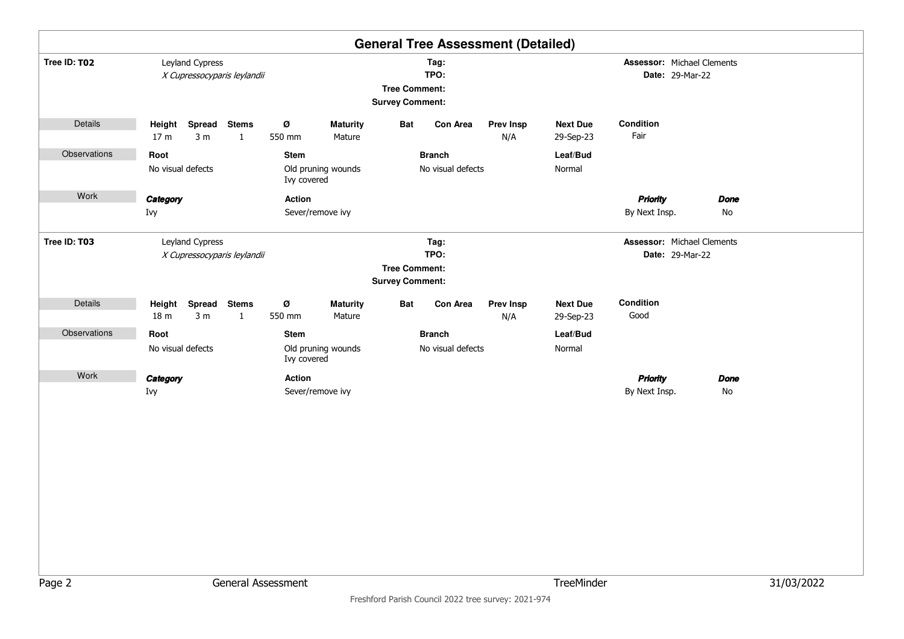|              |                                                                            |                                                  | <b>General Tree Assessment (Detailed)</b>                      |                                                       |            |  |  |  |
|--------------|----------------------------------------------------------------------------|--------------------------------------------------|----------------------------------------------------------------|-------------------------------------------------------|------------|--|--|--|
| Tree ID: T02 | Leyland Cypress<br>X Cupressocyparis leylandii                             |                                                  | Tag:<br>TPO:<br><b>Tree Comment:</b><br><b>Survey Comment:</b> | Assessor: Michael Clements<br>Date: 29-Mar-22         |            |  |  |  |
| Details      | Height Spread Stems<br>3 <sub>m</sub><br>17 <sub>m</sub><br>$\mathbf{1}$   | Ø<br><b>Maturity</b><br>550 mm<br>Mature         | Bat<br>Con Area<br><b>Prev Insp</b><br>N/A                     | Condition<br><b>Next Due</b><br>Fair<br>29-Sep-23     |            |  |  |  |
| Observations | Root<br>No visual defects                                                  | <b>Stem</b><br>Old pruning wounds<br>Ivy covered | <b>Branch</b><br>No visual defects                             | Leaf/Bud<br>Normal                                    |            |  |  |  |
| Work         | Category<br>Ivy                                                            | Action<br>Sever/remove ivy                       |                                                                | <b>Priority</b><br><b>Done</b><br>By Next Insp.<br>No |            |  |  |  |
| Tree ID: T03 | Leyland Cypress<br>X Cupressocyparis leylandii                             |                                                  | Tag:<br>TPO:<br><b>Tree Comment:</b><br><b>Survey Comment:</b> | <b>Assessor: Michael Clements</b><br>Date: 29-Mar-22  |            |  |  |  |
| Details      | Height<br>Spread<br><b>Stems</b><br>18 <sub>m</sub><br>3 <sub>m</sub><br>1 | Ø<br><b>Maturity</b><br>550 mm<br>Mature         | Bat<br><b>Con Area</b><br><b>Prev Insp</b><br>N/A              | Condition<br><b>Next Due</b><br>Good<br>29-Sep-23     |            |  |  |  |
| Observations | Root<br>No visual defects                                                  | <b>Stem</b><br>Old pruning wounds<br>Ivy covered | <b>Branch</b><br>No visual defects                             | Leaf/Bud<br>Normal                                    |            |  |  |  |
| Work         | Category<br>Ivy                                                            | Action<br>Sever/remove ivy                       |                                                                | <b>Priority</b><br><b>Done</b><br>By Next Insp.<br>No |            |  |  |  |
| Page 2       | General Assessment                                                         |                                                  |                                                                | TreeMinder                                            | 31/03/2022 |  |  |  |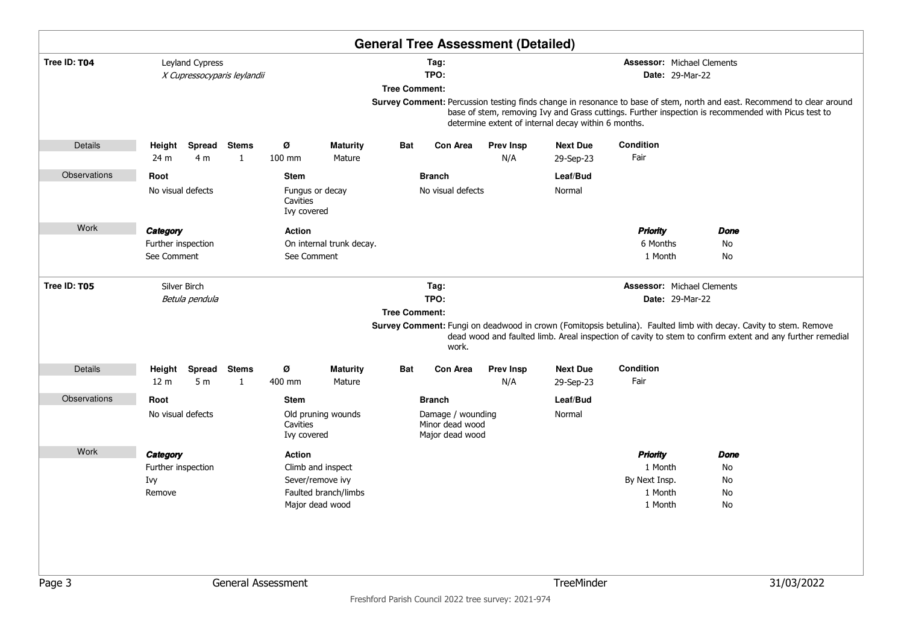|              |                                                                                                       |                          |                             |                              |                                                                                  |                      |                                                                          | <b>General Tree Assessment (Detailed)</b> |                                                                                                                                                                                                                                                                                               |                                                                   |                              |            |  |
|--------------|-------------------------------------------------------------------------------------------------------|--------------------------|-----------------------------|------------------------------|----------------------------------------------------------------------------------|----------------------|--------------------------------------------------------------------------|-------------------------------------------|-----------------------------------------------------------------------------------------------------------------------------------------------------------------------------------------------------------------------------------------------------------------------------------------------|-------------------------------------------------------------------|------------------------------|------------|--|
| Tree ID: T04 |                                                                                                       | Leyland Cypress          | X Cupressocyparis leylandii |                              |                                                                                  | <b>Tree Comment:</b> | Tag:<br>TPO:                                                             |                                           | <b>Assessor: Michael Clements</b><br><b>Date: 29-Mar-22</b><br>Survey Comment: Percussion testing finds change in resonance to base of stem, north and east. Recommend to clear around<br>base of stem, removing Ivy and Grass cuttings. Further inspection is recommended with Picus test to |                                                                   |                              |            |  |
|              |                                                                                                       |                          |                             |                              |                                                                                  |                      |                                                                          |                                           | determine extent of internal decay within 6 months.                                                                                                                                                                                                                                           |                                                                   |                              |            |  |
| Details      | Height<br>24 m                                                                                        | 4 <sub>m</sub>           | Spread Stems<br>1           | Ø<br>100 mm                  | <b>Maturity</b><br>Mature                                                        | Bat                  | <b>Con Area</b>                                                          | <b>Prev Insp</b><br>N/A                   | <b>Next Due</b><br>29-Sep-23                                                                                                                                                                                                                                                                  | Condition<br>Fair                                                 |                              |            |  |
| Observations | Root<br><b>Stem</b><br>No visual defects<br>Cavities<br>Ivy covered<br>Category<br>Further inspection |                          |                             |                              | Fungus or decay                                                                  |                      | <b>Branch</b><br>No visual defects                                       |                                           | Leaf/Bud<br>Normal                                                                                                                                                                                                                                                                            |                                                                   |                              |            |  |
| Work         | See Comment                                                                                           |                          |                             | <b>Action</b><br>See Comment | On internal trunk decay.                                                         |                      |                                                                          |                                           |                                                                                                                                                                                                                                                                                               | <b>Priority</b><br>6 Months<br>1 Month                            | Done<br>No<br>No             |            |  |
| Tree ID: T05 | Silver Birch<br>Betula pendula                                                                        |                          |                             |                              |                                                                                  | <b>Tree Comment:</b> | Tag:<br>TPO:<br>work.                                                    |                                           | <b>Assessor: Michael Clements</b><br><b>Date: 29-Mar-22</b><br>Survey Comment: Fungi on deadwood in crown (Fomitopsis betulina). Faulted limb with decay. Cavity to stem. Remove<br>dead wood and faulted limb. Areal inspection of cavity to stem to confirm extent and any further remedial |                                                                   |                              |            |  |
| Details      | Height<br>12 <sub>m</sub>                                                                             | Spread<br>5 <sub>m</sub> | <b>Stems</b><br>1           | Ø<br>400 mm                  | <b>Maturity</b><br>Mature                                                        | Bat                  | <b>Con Area</b>                                                          | <b>Prev Insp</b><br>N/A                   | <b>Next Due</b><br>29-Sep-23                                                                                                                                                                                                                                                                  | Condition<br>Fair                                                 |                              |            |  |
| Observations | Root<br>Stem<br>No visual defects<br>Cavities                                                         |                          |                             |                              | Old pruning wounds                                                               |                      | <b>Branch</b><br>Damage / wounding<br>Minor dead wood<br>Major dead wood |                                           | Leaf/Bud<br>Normal                                                                                                                                                                                                                                                                            |                                                                   |                              |            |  |
| Work         | Ivy covered<br>Category<br><b>Action</b><br>Further inspection<br>Ivy<br>Remove                       |                          |                             |                              | Climb and inspect<br>Sever/remove ivy<br>Faulted branch/limbs<br>Major dead wood |                      |                                                                          |                                           |                                                                                                                                                                                                                                                                                               | <b>Priority</b><br>1 Month<br>By Next Insp.<br>1 Month<br>1 Month | Done<br>No<br>No<br>No<br>No |            |  |
| Page 3       |                                                                                                       |                          |                             | General Assessment           |                                                                                  |                      |                                                                          |                                           | TreeMinder                                                                                                                                                                                                                                                                                    |                                                                   |                              | 31/03/2022 |  |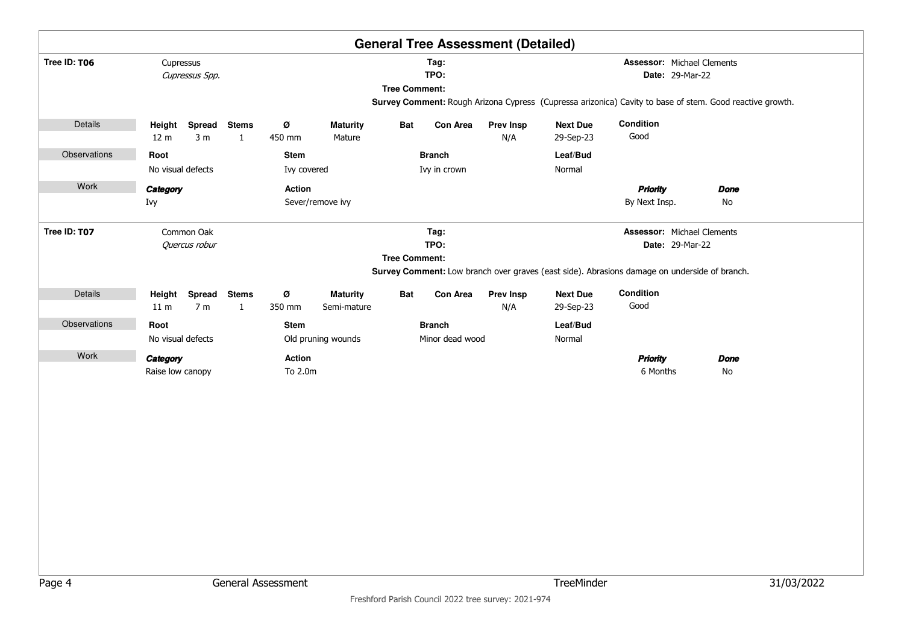|              |                                            |                              |                    |                                |                      |                 | <b>General Tree Assessment (Detailed)</b> |                              |                                                                                                          |             |            |
|--------------|--------------------------------------------|------------------------------|--------------------|--------------------------------|----------------------|-----------------|-------------------------------------------|------------------------------|----------------------------------------------------------------------------------------------------------|-------------|------------|
| Tree ID: T06 | Cupressus<br>Cupressus Spp.                |                              |                    |                                | <b>Tree Comment:</b> | Tag:<br>TPO:    |                                           |                              | <b>Assessor: Michael Clements</b><br>Date: 29-Mar-22                                                     |             |            |
|              |                                            |                              |                    |                                |                      |                 |                                           |                              | Survey Comment: Rough Arizona Cypress (Cupressa arizonica) Cavity to base of stem. Good reactive growth. |             |            |
| Details      | Spread<br>Height                           | <b>Stems</b>                 | Ø                  | <b>Maturity</b>                | Bat                  | Con Area        | <b>Prev Insp</b>                          | <b>Next Due</b>              | Condition                                                                                                |             |            |
|              | 3 <sub>m</sub><br>12 <sub>m</sub>          | $\mathbf{1}$                 | 450 mm             | Mature                         |                      |                 | N/A                                       | 29-Sep-23                    | Good                                                                                                     |             |            |
| Observations | Root                                       |                              | Stem               |                                |                      | <b>Branch</b>   |                                           | Leaf/Bud                     |                                                                                                          |             |            |
|              | No visual defects                          |                              | Ivy covered        |                                |                      | Ivy in crown    |                                           | Normal                       |                                                                                                          |             |            |
| Work         | Category                                   |                              | Action             |                                |                      |                 |                                           |                              | <b>Priority</b>                                                                                          | <b>Done</b> |            |
|              | Ivy                                        |                              |                    | Sever/remove ivy               |                      |                 |                                           |                              | By Next Insp.                                                                                            | No          |            |
| Tree ID: T07 | Common Oak                                 |                              |                    |                                |                      | Tag:            |                                           |                              | <b>Assessor: Michael Clements</b>                                                                        |             |            |
|              | Quercus robur                              |                              |                    |                                |                      | TPO:            |                                           |                              | Date: 29-Mar-22                                                                                          |             |            |
|              |                                            |                              |                    |                                | <b>Tree Comment:</b> |                 |                                           |                              | Survey Comment: Low branch over graves (east side). Abrasions damage on underside of branch.             |             |            |
|              |                                            |                              |                    |                                |                      |                 |                                           |                              |                                                                                                          |             |            |
| Details      | Spread<br>Height<br>7 <sub>m</sub><br>11 m | <b>Stems</b><br>$\mathbf{1}$ | Ø<br>350 mm        | <b>Maturity</b><br>Semi-mature | Bat                  | Con Area        | <b>Prev Insp</b><br>N/A                   | <b>Next Due</b><br>29-Sep-23 | Condition<br>Good                                                                                        |             |            |
| Observations | Root                                       |                              | <b>Stem</b>        |                                |                      | <b>Branch</b>   |                                           | Leaf/Bud                     |                                                                                                          |             |            |
|              | No visual defects                          |                              |                    | Old pruning wounds             |                      | Minor dead wood |                                           | Normal                       |                                                                                                          |             |            |
| Work         | Category                                   |                              | Action             |                                |                      |                 |                                           |                              | <b>Priority</b>                                                                                          | <b>Done</b> |            |
|              | Raise low canopy                           |                              | To 2.0m            |                                |                      |                 |                                           |                              | 6 Months                                                                                                 | No          |            |
|              |                                            |                              |                    |                                |                      |                 |                                           |                              |                                                                                                          |             |            |
|              |                                            |                              |                    |                                |                      |                 |                                           |                              |                                                                                                          |             |            |
|              |                                            |                              |                    |                                |                      |                 |                                           |                              |                                                                                                          |             |            |
|              |                                            |                              |                    |                                |                      |                 |                                           |                              |                                                                                                          |             |            |
|              |                                            |                              |                    |                                |                      |                 |                                           |                              |                                                                                                          |             |            |
|              |                                            |                              |                    |                                |                      |                 |                                           |                              |                                                                                                          |             |            |
|              |                                            |                              |                    |                                |                      |                 |                                           |                              |                                                                                                          |             |            |
|              |                                            |                              |                    |                                |                      |                 |                                           |                              |                                                                                                          |             |            |
|              |                                            |                              |                    |                                |                      |                 |                                           |                              |                                                                                                          |             |            |
|              |                                            |                              |                    |                                |                      |                 |                                           |                              |                                                                                                          |             |            |
|              |                                            |                              |                    |                                |                      |                 |                                           |                              |                                                                                                          |             |            |
|              |                                            |                              |                    |                                |                      |                 |                                           |                              |                                                                                                          |             |            |
| Page 4       |                                            |                              | General Assessment |                                |                      |                 |                                           | TreeMinder                   |                                                                                                          |             | 31/03/2022 |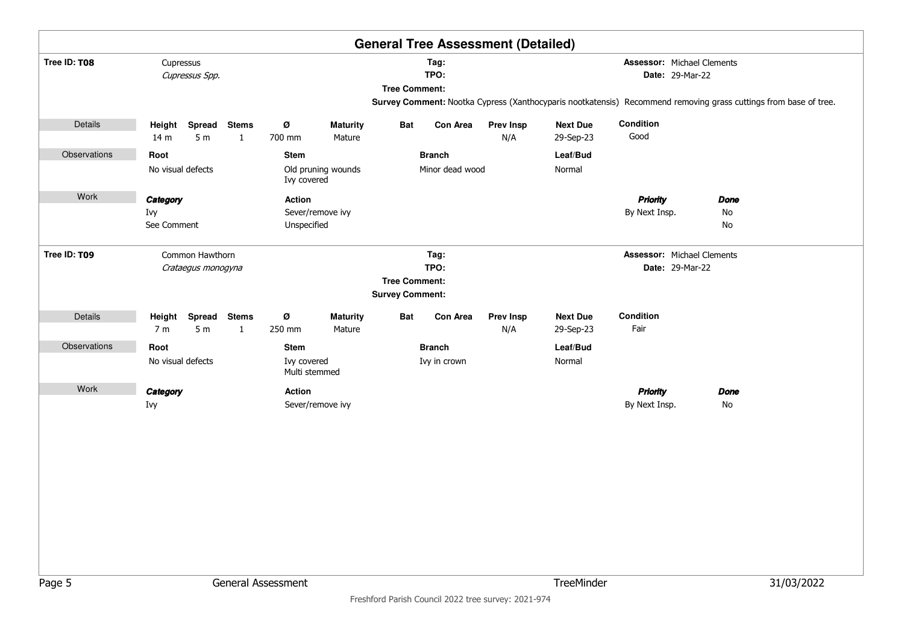|              |                                                                                      |                                 |                              |                                                                |                           |                      |                                                        | <b>General Tree Assessment (Detailed)</b> |                                                             |                                                             |                                                                                                                  |  |
|--------------|--------------------------------------------------------------------------------------|---------------------------------|------------------------------|----------------------------------------------------------------|---------------------------|----------------------|--------------------------------------------------------|-------------------------------------------|-------------------------------------------------------------|-------------------------------------------------------------|------------------------------------------------------------------------------------------------------------------|--|
| Tree ID: T08 | Cupressus<br>Cupressus Spp.<br>Height Spread Stems                                   |                                 |                              |                                                                |                           | <b>Tree Comment:</b> | Tag:<br>TPO:                                           |                                           |                                                             | <b>Assessor: Michael Clements</b><br><b>Date: 29-Mar-22</b> | Survey Comment: Nootka Cypress (Xanthocyparis nootkatensis) Recommend removing grass cuttings from base of tree. |  |
| Details      | 14 <sub>m</sub>                                                                      | 5 <sub>m</sub>                  | $\mathbf{1}$                 | Ø<br>700 mm                                                    | <b>Maturity</b><br>Mature | <b>Bat</b>           | <b>Con Area</b>                                        | <b>Prev Insp</b><br>N/A                   | <b>Next Due</b><br>29-Sep-23                                | Condition<br>Good                                           |                                                                                                                  |  |
| Observations | Root<br>No visual defects                                                            |                                 |                              | <b>Stem</b><br>Old pruning wounds<br>Ivy covered<br>Action     |                           |                      | Leaf/Bud<br><b>Branch</b><br>Minor dead wood<br>Normal |                                           |                                                             |                                                             |                                                                                                                  |  |
| Work         | Category<br>Ivy<br>Sever/remove ivy<br>See Comment<br>Unspecified<br>Common Hawthorn |                                 |                              |                                                                |                           |                      |                                                        |                                           |                                                             | <b>Priority</b><br>By Next Insp.                            | <b>Done</b><br>No<br>No                                                                                          |  |
| Tree ID: T09 | Crataegus monogyna                                                                   |                                 |                              | Tag:<br>TPO:<br><b>Tree Comment:</b><br><b>Survey Comment:</b> |                           |                      |                                                        |                                           | <b>Assessor: Michael Clements</b><br><b>Date: 29-Mar-22</b> |                                                             |                                                                                                                  |  |
| Details      | 7 m                                                                                  | Height Spread<br>5 <sub>m</sub> | <b>Stems</b><br>$\mathbf{1}$ | Ø<br>250 mm                                                    | <b>Maturity</b><br>Mature | <b>Bat</b>           | <b>Con Area</b>                                        | <b>Prev Insp</b><br>N/A                   | <b>Next Due</b><br>29-Sep-23                                | <b>Condition</b><br>Fair                                    |                                                                                                                  |  |
| Observations | Root<br>No visual defects                                                            |                                 |                              | <b>Stem</b><br><b>Branch</b><br>Ivy covered<br>Multi stemmed   |                           |                      | Leaf/Bud<br>Ivy in crown<br>Normal                     |                                           |                                                             |                                                             |                                                                                                                  |  |
| Work         | Category<br>Ivy                                                                      |                                 |                              | Action<br>Sever/remove ivy                                     |                           |                      |                                                        | <b>Priority</b><br>By Next Insp.          | <b>Done</b><br>No                                           |                                                             |                                                                                                                  |  |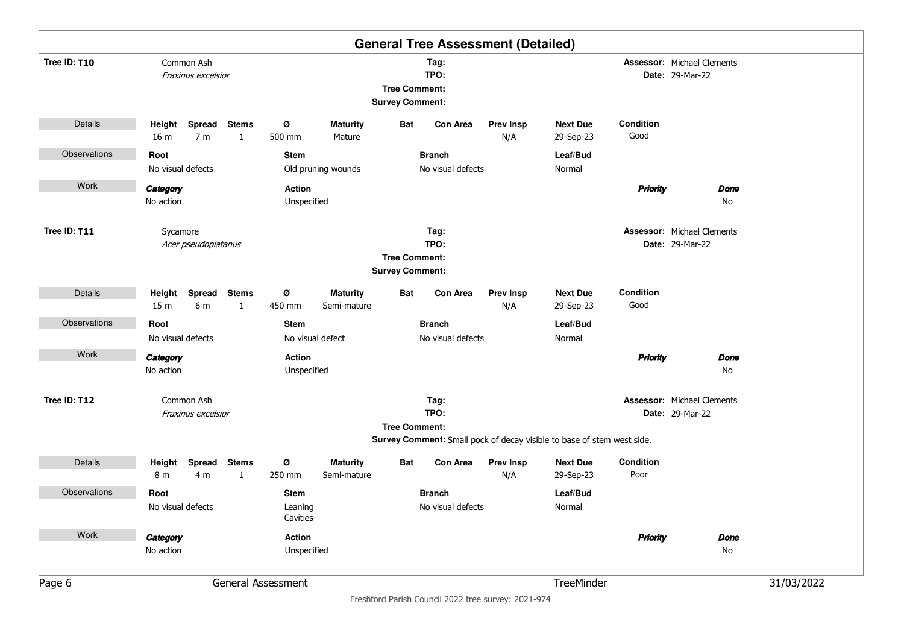|              |                                             |                              |                                    |                                |                                                |                                                                                                                               | <b>General Tree Assessment (Detailed)</b> |                                                                        |                   |                                                             |            |
|--------------|---------------------------------------------|------------------------------|------------------------------------|--------------------------------|------------------------------------------------|-------------------------------------------------------------------------------------------------------------------------------|-------------------------------------------|------------------------------------------------------------------------|-------------------|-------------------------------------------------------------|------------|
| Tree ID: T10 | Common Ash<br>Fraxinus excelsior            |                              |                                    |                                | <b>Tree Comment:</b><br><b>Survey Comment:</b> | Tag:<br>TPO:                                                                                                                  |                                           |                                                                        |                   | <b>Assessor: Michael Clements</b><br><b>Date: 29-Mar-22</b> |            |
| Details      | Height<br>16 <sub>m</sub><br>7 <sub>m</sub> | Spread Stems<br>$\mathbf{1}$ | ø<br>500 mm                        | <b>Maturity</b><br>Mature      | Bat                                            | <b>Con Area</b>                                                                                                               | <b>Prev Insp</b><br>N/A                   | <b>Next Due</b><br>29-Sep-23                                           | Condition<br>Good |                                                             |            |
| Observations | Root<br>No visual defects                   |                              | <b>Stem</b>                        | Old pruning wounds             |                                                | <b>Branch</b><br>No visual defects                                                                                            |                                           | Leaf/Bud<br>Normal                                                     |                   |                                                             |            |
| Work         | Category<br>No action                       |                              | <b>Action</b><br>Unspecified       |                                |                                                |                                                                                                                               |                                           |                                                                        | <b>Priority</b>   | Done<br>No                                                  |            |
| Tree ID: T11 | Sycamore<br>Acer pseudoplatanus             |                              |                                    |                                |                                                | <b>Assessor: Michael Clements</b><br>Tag:<br>TPO:<br><b>Date: 29-Mar-22</b><br><b>Tree Comment:</b><br><b>Survey Comment:</b> |                                           |                                                                        |                   |                                                             |            |
| Details      | Height<br>6 m<br>15 <sub>m</sub>            | Spread Stems<br>1            | ø<br>450 mm                        | <b>Maturity</b><br>Semi-mature | Bat                                            | Con Area                                                                                                                      | <b>Prev Insp</b><br>N/A                   | <b>Next Due</b><br>29-Sep-23                                           | Condition<br>Good |                                                             |            |
| Observations | Root                                        |                              | <b>Stem</b>                        |                                | <b>Branch</b><br>No visual defects             |                                                                                                                               |                                           | Leaf/Bud                                                               |                   |                                                             |            |
| Work         | No visual defects<br>Category<br>No action  |                              | <b>Action</b><br>Unspecified       | No visual defect               |                                                |                                                                                                                               |                                           | Normal                                                                 | <b>Priority</b>   | <b>Done</b><br>No                                           |            |
| Tree ID: T12 | Common Ash<br>Fraxinus excelsior            |                              |                                    |                                | <b>Tree Comment:</b>                           | Tag:<br>TPO:                                                                                                                  |                                           | Survey Comment: Small pock of decay visible to base of stem west side. |                   | <b>Assessor: Michael Clements</b><br><b>Date: 29-Mar-22</b> |            |
| Details      | Spread<br>Height<br>8 m<br>4 <sub>m</sub>   | <b>Stems</b><br>$\mathbf{1}$ | ø<br>250 mm                        | <b>Maturity</b><br>Semi-mature | Bat                                            | Con Area                                                                                                                      | <b>Prev Insp</b><br>N/A                   | <b>Next Due</b><br>29-Sep-23                                           | Condition<br>Poor |                                                             |            |
| Observations | Root<br>No visual defects                   | Leaning<br>Cavities          | <b>Branch</b><br>No visual defects |                                |                                                | Leaf/Bud<br>Normal                                                                                                            |                                           |                                                                        |                   |                                                             |            |
| Work         | Category<br>No action                       |                              | Action<br>Unspecified              |                                |                                                |                                                                                                                               |                                           |                                                                        | <b>Priority</b>   | <b>Done</b><br>No                                           |            |
| Page 6       | General Assessment                          |                              |                                    |                                |                                                |                                                                                                                               |                                           | TreeMinder                                                             |                   |                                                             | 31/03/2022 |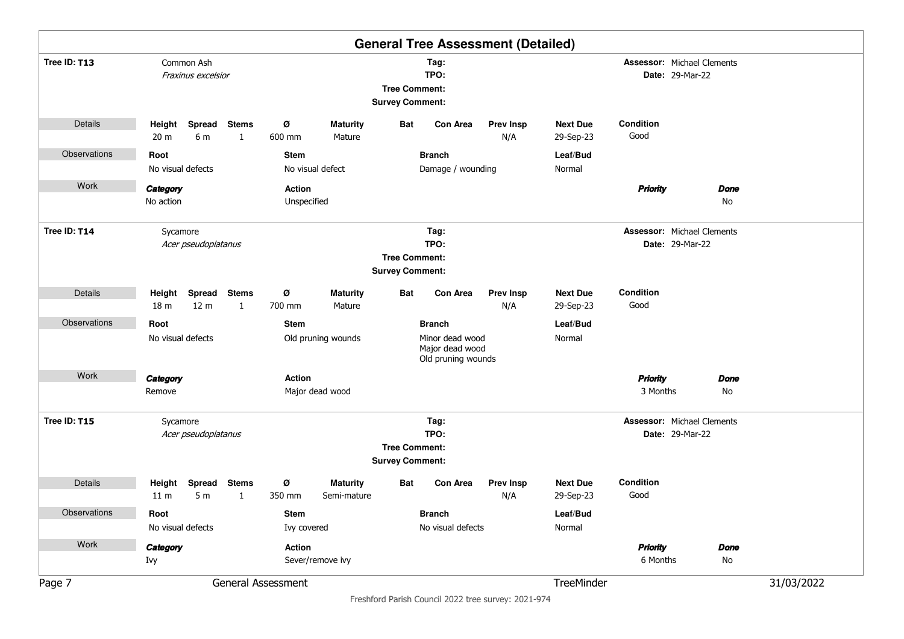|              |                                  |                                         |                              |               |                                |                                                |                                                          | <b>General Tree Assessment (Detailed)</b> |                              |                                   |                        |             |            |
|--------------|----------------------------------|-----------------------------------------|------------------------------|---------------|--------------------------------|------------------------------------------------|----------------------------------------------------------|-------------------------------------------|------------------------------|-----------------------------------|------------------------|-------------|------------|
| Tree ID: T13 |                                  | Common Ash<br>Fraxinus excelsior        |                              |               |                                | <b>Tree Comment:</b><br><b>Survey Comment:</b> | Tag:<br>TPO:                                             |                                           |                              | <b>Assessor: Michael Clements</b> | <b>Date: 29-Mar-22</b> |             |            |
| Details      | Height<br>20 <sub>m</sub>        | Spread<br>6 m                           | <b>Stems</b><br>$\mathbf{1}$ | ø<br>600 mm   | <b>Maturity</b><br>Mature      | Bat                                            | <b>Con Area</b>                                          | <b>Prev Insp</b><br>N/A                   | <b>Next Due</b><br>29-Sep-23 | Condition<br>Good                 |                        |             |            |
| Observations | Root                             |                                         |                              | <b>Stem</b>   |                                |                                                | <b>Branch</b>                                            |                                           | Leaf/Bud                     |                                   |                        |             |            |
|              | No visual defects                |                                         |                              |               | No visual defect               |                                                | Damage / wounding                                        |                                           | Normal                       |                                   |                        |             |            |
| Work         | Category                         |                                         |                              | <b>Action</b> |                                |                                                |                                                          |                                           |                              | <b>Priority</b>                   |                        | <b>Done</b> |            |
|              | No action                        |                                         |                              | Unspecified   |                                |                                                |                                                          |                                           |                              |                                   |                        | No          |            |
| Tree ID: T14 | Sycamore                         | Acer pseudoplatanus                     |                              |               |                                |                                                | Tag:<br>TPO:                                             |                                           |                              | <b>Assessor: Michael Clements</b> | <b>Date: 29-Mar-22</b> |             |            |
|              |                                  |                                         |                              |               |                                | <b>Tree Comment:</b>                           |                                                          |                                           |                              |                                   |                        |             |            |
|              |                                  |                                         |                              |               |                                | <b>Survey Comment:</b>                         |                                                          |                                           |                              |                                   |                        |             |            |
| Details      | Height                           | Spread Stems                            |                              | ø             | <b>Maturity</b>                | Bat                                            | Con Area                                                 | <b>Prev Insp</b>                          | <b>Next Due</b>              | Condition                         |                        |             |            |
|              | 18 <sub>m</sub>                  | 12 <sub>m</sub>                         | $\mathbf{1}$                 | 700 mm        | Mature                         |                                                |                                                          | N/A                                       | 29-Sep-23                    | Good                              |                        |             |            |
| Observations | Root                             |                                         |                              | <b>Stem</b>   |                                |                                                | <b>Branch</b>                                            |                                           | Leaf/Bud                     |                                   |                        |             |            |
|              |                                  | No visual defects<br>Old pruning wounds |                              |               |                                |                                                | Minor dead wood<br>Major dead wood<br>Old pruning wounds |                                           | Normal                       |                                   |                        |             |            |
| Work         | Category                         |                                         |                              | <b>Action</b> |                                |                                                |                                                          |                                           |                              | <b>Priority</b>                   |                        | <b>Done</b> |            |
|              | Remove                           |                                         |                              |               | Major dead wood                |                                                |                                                          |                                           |                              | 3 Months                          |                        | No          |            |
| Tree ID: T15 | Sycamore                         | Acer pseudoplatanus                     |                              |               |                                |                                                | Tag:<br>TPO:                                             |                                           |                              | <b>Assessor: Michael Clements</b> | <b>Date: 29-Mar-22</b> |             |            |
|              |                                  |                                         |                              |               |                                | <b>Tree Comment:</b>                           |                                                          |                                           |                              |                                   |                        |             |            |
|              |                                  |                                         |                              |               |                                | <b>Survey Comment:</b>                         |                                                          |                                           |                              |                                   |                        |             |            |
| Details      | Height<br>11 <sub>m</sub>        | <b>Spread</b><br>5 <sub>m</sub>         | <b>Stems</b><br>$\mathbf{1}$ | Ø<br>350 mm   | <b>Maturity</b><br>Semi-mature | Bat                                            | Con Area                                                 | <b>Prev Insp</b><br>N/A                   | <b>Next Due</b><br>29-Sep-23 | Condition<br>Good                 |                        |             |            |
| Observations | Root<br><b>Stem</b>              |                                         |                              |               |                                |                                                | <b>Branch</b>                                            |                                           | Leaf/Bud                     |                                   |                        |             |            |
|              | No visual defects<br>Ivy covered |                                         |                              |               |                                |                                                | No visual defects                                        |                                           | Normal                       |                                   |                        |             |            |
| Work         | Action<br>Category               |                                         |                              |               |                                |                                                |                                                          |                                           |                              | <b>Priority</b>                   |                        | <b>Done</b> |            |
|              | Sever/remove ivy<br>Ivy          |                                         |                              |               |                                |                                                |                                                          |                                           |                              | 6 Months                          |                        | No          |            |
| Page 7       | General Assessment               |                                         |                              |               |                                |                                                |                                                          |                                           | TreeMinder                   |                                   |                        |             | 31/03/2022 |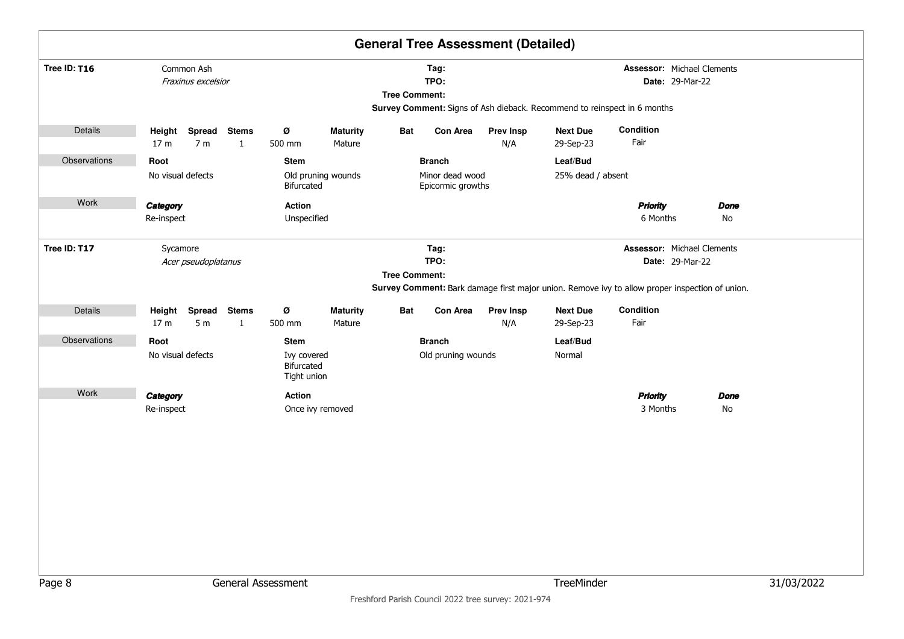|              |                                                                                           |                    |                              |                    |                                                           |                      |                                                       | <b>General Tree Assessment (Detailed)</b> |                                                                          |                                                                                                                                                               |                   |            |
|--------------|-------------------------------------------------------------------------------------------|--------------------|------------------------------|--------------------|-----------------------------------------------------------|----------------------|-------------------------------------------------------|-------------------------------------------|--------------------------------------------------------------------------|---------------------------------------------------------------------------------------------------------------------------------------------------------------|-------------------|------------|
| Tree ID: T16 | Common Ash                                                                                | Fraxinus excelsior |                              |                    |                                                           | <b>Tree Comment:</b> | Tag:<br>TPO:                                          |                                           | Survey Comment: Signs of Ash dieback. Recommend to reinspect in 6 months |                                                                                                                                                               |                   |            |
| Details      | Height<br>17 <sub>m</sub>                                                                 | 7 <sub>m</sub>     | Spread Stems<br>$\mathbf{1}$ | Ø<br>500 mm        | <b>Maturity</b><br>Mature                                 | Bat                  | Con Area                                              | <b>Prev Insp</b><br>N/A                   | <b>Next Due</b><br>29-Sep-23                                             | Condition<br>Fair                                                                                                                                             |                   |            |
| Observations | Root<br>No visual defects                                                                 |                    |                              | Stem<br>Bifurcated | Old pruning wounds                                        |                      | <b>Branch</b><br>Minor dead wood<br>Epicormic growths |                                           | Leaf/Bud<br>25% dead / absent                                            |                                                                                                                                                               |                   |            |
| Work         | Category<br><b>Action</b><br>Unspecified<br>Re-inspect<br>Sycamore<br>Acer pseudoplatanus |                    |                              |                    |                                                           |                      |                                                       |                                           |                                                                          | <b>Priority</b><br>6 Months                                                                                                                                   | <b>Done</b><br>No |            |
| Tree ID: T17 |                                                                                           |                    |                              |                    |                                                           | <b>Tree Comment:</b> | Tag:<br>TPO:                                          |                                           |                                                                          | <b>Assessor: Michael Clements</b><br><b>Date: 29-Mar-22</b><br>Survey Comment: Bark damage first major union. Remove ivy to allow proper inspection of union. |                   |            |
| Details      | Height Spread<br>17 <sub>m</sub>                                                          | 5 <sub>m</sub>     | <b>Stems</b><br>$\mathbf{1}$ | Ø<br>500 mm        | <b>Maturity</b><br>Mature                                 | Bat                  | Con Area                                              | <b>Prev Insp</b><br>N/A                   | <b>Next Due</b><br>29-Sep-23                                             | Condition<br>Fair                                                                                                                                             |                   |            |
| Observations | Root<br>Stem<br>No visual defects<br>Ivy covered<br>Bifurcated                            |                    |                              |                    | <b>Branch</b><br>Leaf/Bud<br>Old pruning wounds<br>Normal |                      |                                                       |                                           |                                                                          |                                                                                                                                                               |                   |            |
| Work         | Tight union<br>Category<br><b>Action</b><br>Re-inspect<br>General Assessment              |                    |                              |                    | Once ivy removed                                          |                      |                                                       |                                           |                                                                          | <b>Priority</b><br>3 Months                                                                                                                                   | <b>Done</b><br>No |            |
| Page 8       |                                                                                           |                    |                              |                    |                                                           |                      |                                                       |                                           | TreeMinder                                                               |                                                                                                                                                               |                   | 31/03/2022 |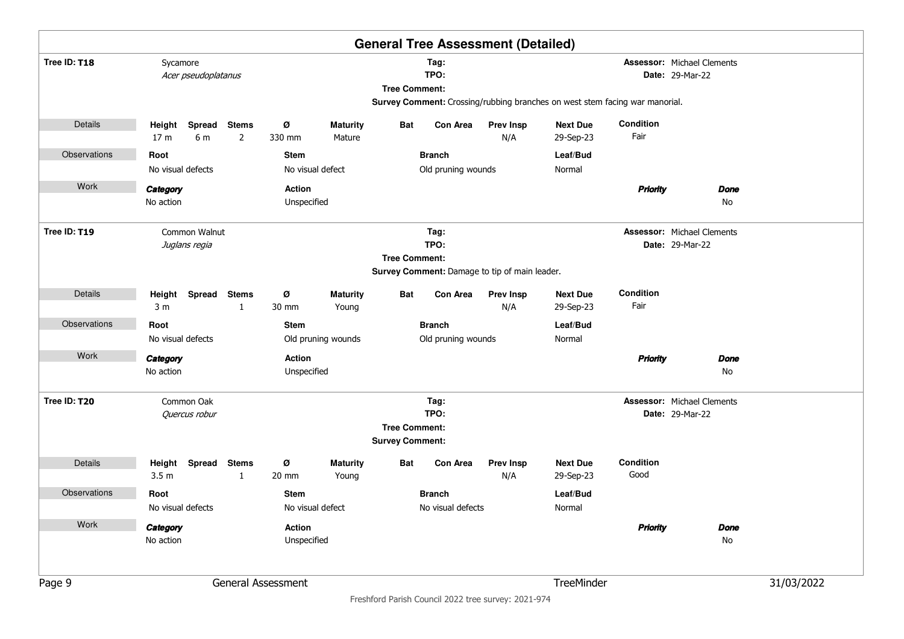|                     |                                                                       |               |                                       |                              |                           |                                                |                    | <b>General Tree Assessment (Detailed)</b> |                                                                             |                   |                                                             |            |
|---------------------|-----------------------------------------------------------------------|---------------|---------------------------------------|------------------------------|---------------------------|------------------------------------------------|--------------------|-------------------------------------------|-----------------------------------------------------------------------------|-------------------|-------------------------------------------------------------|------------|
| Tree ID: T18        | Sycamore<br>Acer pseudoplatanus                                       |               |                                       |                              |                           | <b>Tree Comment:</b>                           | Tag:<br>TPO:       |                                           | Survey Comment: Crossing/rubbing branches on west stem facing war manorial. |                   | <b>Assessor: Michael Clements</b><br><b>Date: 29-Mar-22</b> |            |
| Details             | Height<br>17 <sub>m</sub>                                             | Spread<br>6 m | <b>Stems</b><br>2                     | ø<br>330 mm                  | <b>Maturity</b><br>Mature | Bat                                            | <b>Con Area</b>    | <b>Prev Insp</b><br>N/A                   | <b>Next Due</b><br>29-Sep-23                                                | Condition<br>Fair |                                                             |            |
| Observations        | Root                                                                  |               |                                       | <b>Stem</b>                  |                           |                                                | <b>Branch</b>      |                                           | Leaf/Bud                                                                    |                   |                                                             |            |
|                     | No visual defects                                                     |               |                                       |                              | No visual defect          |                                                | Old pruning wounds |                                           | Normal                                                                      |                   |                                                             |            |
| Work                | Category                                                              |               |                                       | Action                       |                           |                                                |                    |                                           |                                                                             | <b>Priority</b>   | <b>Done</b>                                                 |            |
|                     | No action                                                             |               |                                       | Unspecified                  |                           |                                                |                    |                                           |                                                                             |                   | No                                                          |            |
| Tree ID: T19        | Common Walnut<br>Tag:<br>TPO:<br>Juglans regia                        |               |                                       |                              |                           |                                                |                    |                                           |                                                                             |                   | <b>Assessor: Michael Clements</b><br>Date: 29-Mar-22        |            |
|                     | <b>Tree Comment:</b><br>Survey Comment: Damage to tip of main leader. |               |                                       |                              |                           |                                                |                    |                                           |                                                                             |                   |                                                             |            |
|                     |                                                                       |               |                                       |                              |                           |                                                |                    |                                           |                                                                             |                   |                                                             |            |
| Details             | Height Spread Stems<br>3 <sub>m</sub>                                 |               | $\mathbf{1}$                          | ø<br>30 mm                   | <b>Maturity</b><br>Young  | Bat                                            | Con Area           | <b>Prev Insp</b><br>N/A                   | <b>Next Due</b><br>29-Sep-23                                                | Condition<br>Fair |                                                             |            |
| Observations        | Root                                                                  |               |                                       | <b>Stem</b>                  |                           |                                                | <b>Branch</b>      |                                           | Leaf/Bud                                                                    |                   |                                                             |            |
|                     | No visual defects                                                     |               |                                       |                              | Old pruning wounds        |                                                | Old pruning wounds |                                           | Normal                                                                      |                   |                                                             |            |
| Work                | Category<br>No action                                                 |               |                                       | <b>Action</b><br>Unspecified |                           |                                                |                    |                                           |                                                                             | <b>Priority</b>   | <b>Done</b><br>No                                           |            |
| Tree ID: T20        |                                                                       | Common Oak    |                                       |                              |                           |                                                | Tag:               |                                           |                                                                             |                   | <b>Assessor: Michael Clements</b>                           |            |
|                     |                                                                       | Quercus robur |                                       |                              |                           |                                                | TPO:               |                                           |                                                                             |                   | Date: 29-Mar-22                                             |            |
|                     |                                                                       |               |                                       |                              |                           | <b>Tree Comment:</b><br><b>Survey Comment:</b> |                    |                                           |                                                                             |                   |                                                             |            |
| Details             | Height<br>3.5 <sub>m</sub>                                            | Spread        | <b>Stems</b><br>$\mathbf{1}$          | ø<br>20 mm                   | <b>Maturity</b><br>Young  | Bat                                            | Con Area           | <b>Prev Insp</b><br>N/A                   | <b>Next Due</b><br>29-Sep-23                                                | Condition<br>Good |                                                             |            |
| <b>Observations</b> | Root                                                                  |               |                                       | <b>Stem</b>                  |                           |                                                | <b>Branch</b>      |                                           | Leaf/Bud                                                                    |                   |                                                             |            |
|                     | No visual defects                                                     |               | No visual defect<br>No visual defects |                              |                           |                                                |                    |                                           | Normal                                                                      |                   |                                                             |            |
| Work                | Category<br>No action                                                 |               |                                       | Action<br>Unspecified        |                           |                                                |                    |                                           |                                                                             | <b>Priority</b>   | <b>Done</b><br>No                                           |            |
| Page 9              | General Assessment                                                    |               |                                       |                              |                           |                                                |                    |                                           | TreeMinder                                                                  |                   |                                                             | 31/03/2022 |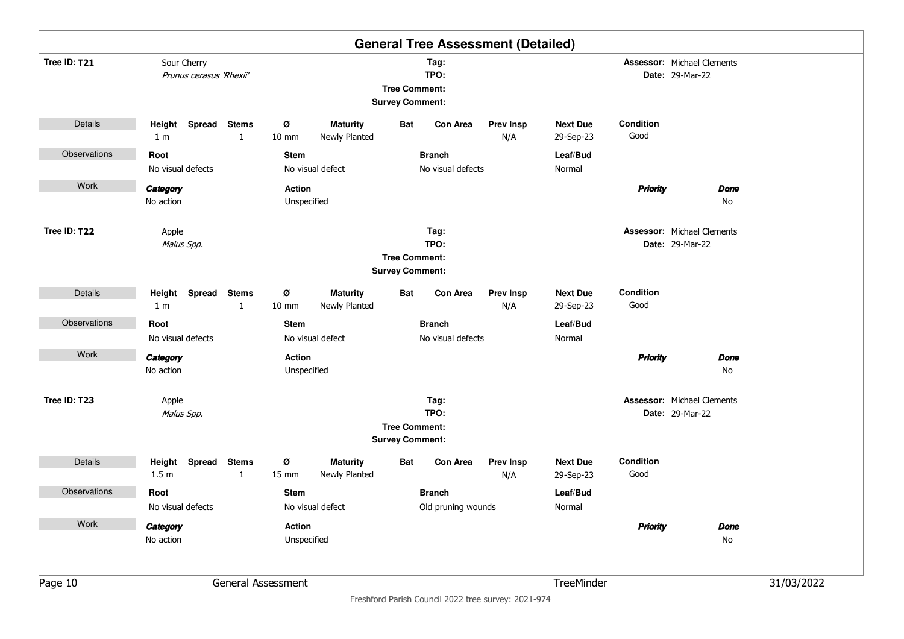|              |                                        |                              |                              |                                  |                                                |                                    | <b>General Tree Assessment (Detailed)</b> |                              |                   |                                                             |            |
|--------------|----------------------------------------|------------------------------|------------------------------|----------------------------------|------------------------------------------------|------------------------------------|-------------------------------------------|------------------------------|-------------------|-------------------------------------------------------------|------------|
| Tree ID: T21 | Sour Cherry<br>Prunus cerasus 'Rhexii' |                              |                              |                                  | <b>Tree Comment:</b><br><b>Survey Comment:</b> | Tag:<br>TPO:                       |                                           |                              |                   | <b>Assessor: Michael Clements</b><br><b>Date: 29-Mar-22</b> |            |
| Details      | Height Spread Stems<br>1 <sub>m</sub>  | $\mathbf{1}$                 | ø<br>$10 \text{ mm}$         | <b>Maturity</b><br>Newly Planted | Bat                                            | <b>Con Area</b>                    | <b>Prev Insp</b><br>N/A                   | <b>Next Due</b><br>29-Sep-23 | Condition<br>Good |                                                             |            |
| Observations | Root<br>No visual defects              |                              | <b>Stem</b>                  | No visual defect                 |                                                | <b>Branch</b><br>No visual defects |                                           | Leaf/Bud<br>Normal           |                   |                                                             |            |
| Work         | Category<br>No action                  |                              | <b>Action</b><br>Unspecified |                                  |                                                |                                    |                                           |                              | <b>Priority</b>   | <b>Done</b><br>No                                           |            |
| Tree ID: T22 | Apple<br>Malus Spp.                    |                              |                              |                                  | <b>Tree Comment:</b><br><b>Survey Comment:</b> | Tag:<br>TPO:                       |                                           |                              |                   | <b>Assessor: Michael Clements</b><br><b>Date: 29-Mar-22</b> |            |
| Details      | Height Spread Stems<br>1 <sub>m</sub>  | $\mathbf{1}$                 | ø<br>$10 \text{ mm}$         | <b>Maturity</b><br>Newly Planted | Bat                                            | <b>Con Area</b>                    | <b>Prev Insp</b><br>N/A                   | <b>Next Due</b><br>29-Sep-23 | Condition<br>Good |                                                             |            |
| Observations | Root                                   |                              | <b>Stem</b>                  |                                  |                                                | <b>Branch</b>                      |                                           | Leaf/Bud                     |                   |                                                             |            |
|              | No visual defects                      |                              |                              | No visual defect                 |                                                | No visual defects                  |                                           | Normal                       |                   |                                                             |            |
| Work         | Category<br>No action                  |                              | <b>Action</b><br>Unspecified |                                  |                                                |                                    |                                           |                              | <b>Priority</b>   | <b>Done</b><br>No                                           |            |
| Tree ID: T23 | Apple<br>Malus Spp.                    |                              |                              |                                  | <b>Tree Comment:</b><br><b>Survey Comment:</b> | Tag:<br>TPO:                       |                                           |                              |                   | <b>Assessor: Michael Clements</b><br><b>Date: 29-Mar-22</b> |            |
| Details      | Spread<br>Height<br>1.5 <sub>m</sub>   | <b>Stems</b><br>$\mathbf{1}$ | ø<br>15 mm                   | <b>Maturity</b><br>Newly Planted | Bat                                            | <b>Con Area</b>                    | <b>Prev Insp</b><br>N/A                   | <b>Next Due</b><br>29-Sep-23 | Condition<br>Good |                                                             |            |
| Observations | Root                                   |                              | <b>Stem</b>                  |                                  |                                                | <b>Branch</b>                      |                                           | Leaf/Bud                     |                   |                                                             |            |
|              | No visual defects                      |                              |                              | No visual defect                 |                                                | Old pruning wounds                 |                                           | Normal                       |                   |                                                             |            |
| Work         | Category<br>No action                  |                              | Action<br>Unspecified        |                                  |                                                |                                    |                                           |                              | <b>Priority</b>   | <b>Done</b><br>No                                           |            |
| Page 10      |                                        |                              | General Assessment           |                                  |                                                |                                    |                                           | TreeMinder                   |                   |                                                             | 31/03/2022 |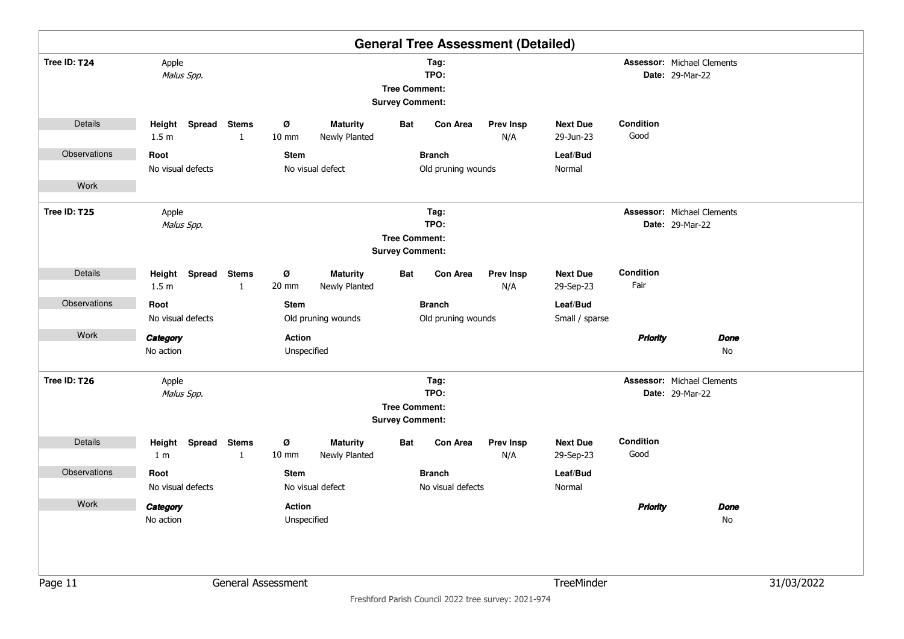| <b>General Tree Assessment (Detailed)</b> |                                   |                                                                                |                                       |                                  |                        |                    |                         |                              |                   |                                                             |            |  |
|-------------------------------------------|-----------------------------------|--------------------------------------------------------------------------------|---------------------------------------|----------------------------------|------------------------|--------------------|-------------------------|------------------------------|-------------------|-------------------------------------------------------------|------------|--|
| Tree ID: T24                              | Apple<br>Malus Spp.               | Tag:<br>TPO:<br><b>Tree Comment:</b><br><b>Survey Comment:</b><br>Spread Stems |                                       |                                  |                        |                    |                         |                              |                   | <b>Assessor: Michael Clements</b><br><b>Date: 29-Mar-22</b> |            |  |
| Details                                   | Height<br>1.5 <sub>m</sub>        | $\mathbf{1}$                                                                   | ø<br>10 mm                            | <b>Maturity</b><br>Newly Planted | Bat                    | <b>Con Area</b>    | <b>Prev Insp</b><br>N/A | <b>Next Due</b><br>29-Jun-23 | Condition<br>Good |                                                             |            |  |
| Observations                              | Root                              |                                                                                | <b>Stem</b>                           |                                  |                        | <b>Branch</b>      |                         | Leaf/Bud                     |                   |                                                             |            |  |
|                                           | No visual defects                 |                                                                                |                                       | No visual defect                 |                        | Old pruning wounds |                         | Normal                       |                   |                                                             |            |  |
| Work                                      |                                   |                                                                                |                                       |                                  |                        |                    |                         |                              |                   |                                                             |            |  |
| Tree ID: T25                              | Apple<br>Malus Spp.               |                                                                                |                                       |                                  | <b>Tree Comment:</b>   | Tag:<br>TPO:       |                         |                              |                   | <b>Assessor: Michael Clements</b><br><b>Date: 29-Mar-22</b> |            |  |
|                                           |                                   |                                                                                |                                       |                                  | <b>Survey Comment:</b> |                    |                         |                              |                   |                                                             |            |  |
| Details                                   | Height Spread<br>1.5 <sub>m</sub> | <b>Stems</b><br>$\mathbf{1}$                                                   | Ø<br>20 mm                            | <b>Maturity</b><br>Newly Planted | Bat                    | <b>Con Area</b>    | <b>Prev Insp</b><br>N/A | <b>Next Due</b><br>29-Sep-23 | Condition<br>Fair |                                                             |            |  |
| Observations                              | Root                              |                                                                                | <b>Stem</b>                           |                                  |                        | <b>Branch</b>      |                         | Leaf/Bud                     |                   |                                                             |            |  |
|                                           | No visual defects                 |                                                                                |                                       | Old pruning wounds               |                        | Old pruning wounds |                         | Small / sparse               |                   |                                                             |            |  |
| Work                                      | Category<br>No action             |                                                                                | <b>Action</b><br>Unspecified          |                                  |                        |                    |                         |                              | <b>Priority</b>   | <b>Done</b><br>No                                           |            |  |
| Tree ID: T26                              | Apple<br>Malus Spp.               |                                                                                |                                       |                                  |                        | Tag:<br>TPO:       |                         |                              |                   | <b>Assessor: Michael Clements</b><br><b>Date: 29-Mar-22</b> |            |  |
|                                           |                                   |                                                                                |                                       |                                  | <b>Tree Comment:</b>   |                    |                         |                              |                   |                                                             |            |  |
|                                           |                                   |                                                                                |                                       |                                  | <b>Survey Comment:</b> |                    |                         |                              |                   |                                                             |            |  |
| Details                                   | Height Spread<br>1 <sub>m</sub>   | <b>Stems</b><br>$\mathbf{1}$                                                   | ø<br>10 mm                            | <b>Maturity</b><br>Newly Planted | Bat                    | Con Area           | <b>Prev Insp</b><br>N/A | <b>Next Due</b><br>29-Sep-23 | Condition<br>Good |                                                             |            |  |
| Observations                              | Root                              |                                                                                | <b>Stem</b>                           |                                  |                        | <b>Branch</b>      |                         | Leaf/Bud                     |                   |                                                             |            |  |
|                                           | No visual defects                 |                                                                                | No visual defect<br>No visual defects |                                  |                        |                    |                         |                              |                   |                                                             |            |  |
| Work                                      | Category<br>No action             | <b>Action</b><br>Unspecified                                                   |                                       |                                  |                        |                    |                         |                              | <b>Priority</b>   | <b>Done</b><br>No                                           |            |  |
| Page 11                                   | General Assessment                |                                                                                |                                       |                                  |                        |                    |                         | TreeMinder                   |                   |                                                             | 31/03/2022 |  |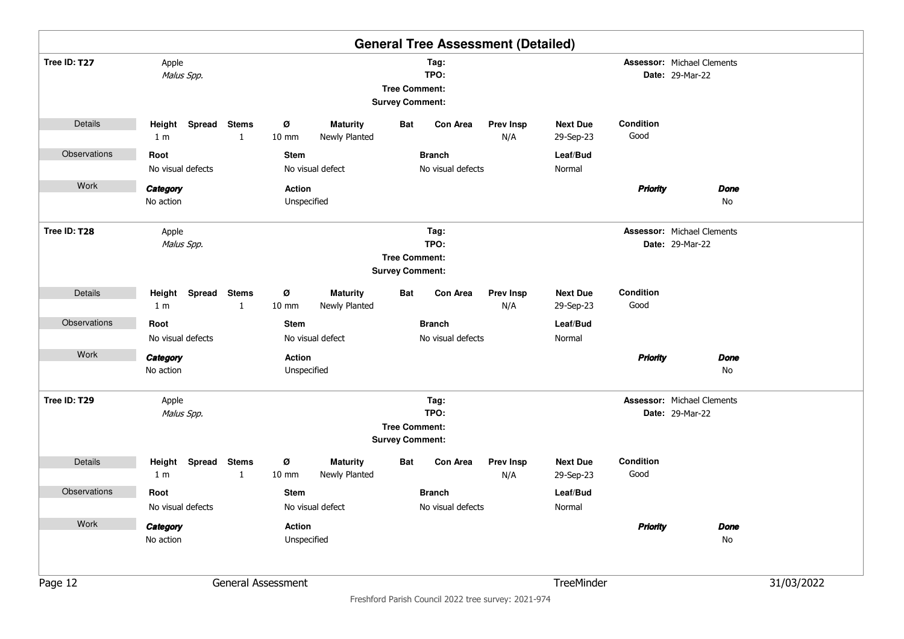|              |                                    |                                                                                |                      |                                  |                                                |                          | <b>General Tree Assessment (Detailed)</b> |                              |                   |                                                             |  |
|--------------|------------------------------------|--------------------------------------------------------------------------------|----------------------|----------------------------------|------------------------------------------------|--------------------------|-------------------------------------------|------------------------------|-------------------|-------------------------------------------------------------|--|
| Tree ID: T27 | Apple<br>Malus Spp.                | Tag:<br>TPO:<br><b>Tree Comment:</b><br><b>Survey Comment:</b><br>Spread Stems |                      |                                  |                                                |                          |                                           |                              |                   | <b>Assessor: Michael Clements</b><br><b>Date: 29-Mar-22</b> |  |
| Details      | Height<br>1 <sub>m</sub>           | 1                                                                              | ø<br>$10 \text{ mm}$ | <b>Maturity</b><br>Newly Planted | Bat                                            | <b>Con Area</b>          | <b>Prev Insp</b><br>N/A                   | <b>Next Due</b><br>29-Sep-23 | Condition<br>Good |                                                             |  |
| Observations | Root                               |                                                                                | <b>Stem</b>          |                                  |                                                | <b>Branch</b>            |                                           | Leaf/Bud                     |                   |                                                             |  |
|              | No visual defects                  |                                                                                |                      | No visual defect                 |                                                | No visual defects        |                                           | Normal                       |                   |                                                             |  |
| Work         | Category                           |                                                                                | <b>Action</b>        |                                  |                                                |                          |                                           |                              | <b>Priority</b>   | <b>Done</b>                                                 |  |
|              | No action                          |                                                                                | Unspecified          |                                  |                                                |                          |                                           |                              |                   | No                                                          |  |
| Tree ID: T28 | Apple<br>Malus Spp.                |                                                                                |                      |                                  |                                                | Tag:<br>TPO:             |                                           |                              |                   | <b>Assessor: Michael Clements</b><br><b>Date: 29-Mar-22</b> |  |
|              |                                    |                                                                                |                      |                                  | <b>Tree Comment:</b>                           |                          |                                           |                              |                   |                                                             |  |
|              |                                    |                                                                                |                      |                                  | <b>Survey Comment:</b>                         |                          |                                           |                              |                   |                                                             |  |
| Details      | Height                             | Spread Stems                                                                   | ø                    | <b>Maturity</b>                  | Bat                                            | Con Area                 | <b>Prev Insp</b>                          | <b>Next Due</b>              | Condition         |                                                             |  |
|              | 1 <sub>m</sub>                     | $\mathbf{1}$                                                                   | 10 mm                | Newly Planted                    |                                                |                          | N/A                                       | 29-Sep-23                    | Good              |                                                             |  |
| Observations | Root                               |                                                                                | <b>Stem</b>          |                                  |                                                | <b>Branch</b>            |                                           | Leaf/Bud                     |                   |                                                             |  |
|              | No visual defects                  |                                                                                |                      | No visual defect                 |                                                | No visual defects        |                                           | Normal                       |                   |                                                             |  |
| Work         | Category                           |                                                                                | <b>Action</b>        |                                  |                                                |                          |                                           |                              | <b>Priority</b>   | <b>Done</b>                                                 |  |
|              | No action                          |                                                                                | Unspecified          |                                  |                                                |                          |                                           |                              |                   | No                                                          |  |
| Tree ID: T29 | Apple                              |                                                                                |                      |                                  |                                                | Tag:                     |                                           |                              |                   | <b>Assessor: Michael Clements</b>                           |  |
|              | Malus Spp.                         |                                                                                |                      |                                  |                                                | TPO:                     |                                           |                              |                   | <b>Date: 29-Mar-22</b>                                      |  |
|              |                                    |                                                                                |                      |                                  | <b>Tree Comment:</b><br><b>Survey Comment:</b> |                          |                                           |                              |                   |                                                             |  |
| Details      | Spread<br>Height<br>1 <sub>m</sub> | <b>Stems</b><br>$\mathbf{1}$                                                   | ø<br>10 mm           | <b>Maturity</b><br>Newly Planted | Bat                                            | Con Area                 | <b>Prev Insp</b><br>N/A                   | <b>Next Due</b><br>29-Sep-23 | Condition<br>Good |                                                             |  |
| Observations | Root                               |                                                                                | <b>Stem</b>          |                                  |                                                | <b>Branch</b>            |                                           | Leaf/Bud                     |                   |                                                             |  |
|              | No visual defects                  |                                                                                |                      | No visual defect                 |                                                | No visual defects        |                                           | Normal                       |                   |                                                             |  |
| Work         | Category                           |                                                                                | Action               |                                  |                                                |                          |                                           |                              | <b>Priority</b>   | <b>Done</b>                                                 |  |
|              | No action                          |                                                                                | Unspecified          |                                  |                                                |                          |                                           |                              |                   | No                                                          |  |
|              |                                    |                                                                                |                      |                                  |                                                |                          |                                           |                              |                   |                                                             |  |
| Page 12      |                                    | General Assessment                                                             |                      |                                  |                                                | 31/03/2022<br>TreeMinder |                                           |                              |                   |                                                             |  |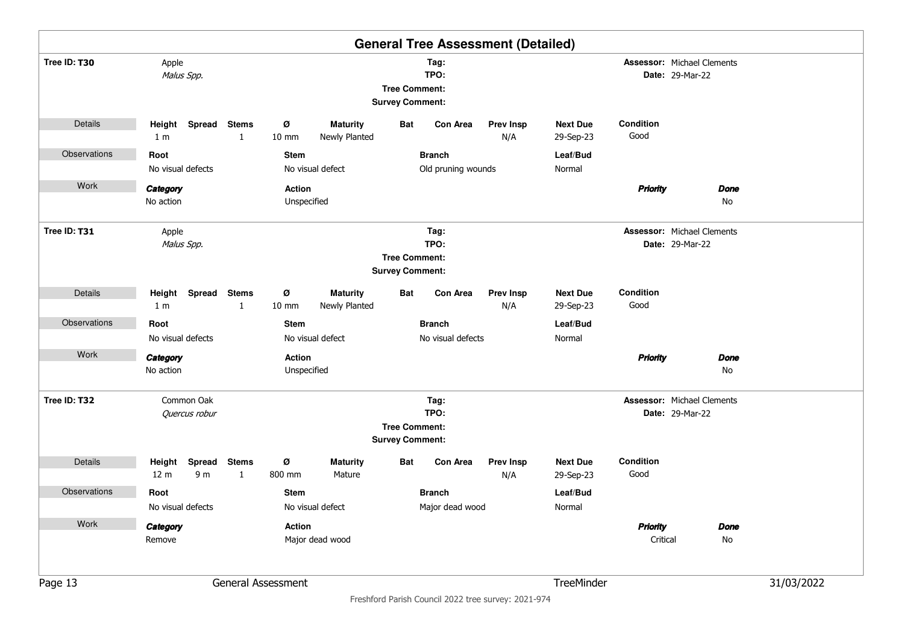|              |                                       |                          |                              |                      |                                  |                                                |                    | <b>General Tree Assessment (Detailed)</b> |                              |                                   |                        |             |            |
|--------------|---------------------------------------|--------------------------|------------------------------|----------------------|----------------------------------|------------------------------------------------|--------------------|-------------------------------------------|------------------------------|-----------------------------------|------------------------|-------------|------------|
| Tree ID: T30 | Apple<br>Malus Spp.                   |                          |                              |                      |                                  | <b>Tree Comment:</b><br><b>Survey Comment:</b> | Tag:<br>TPO:       |                                           |                              | Assessor: Michael Clements        | <b>Date: 29-Mar-22</b> |             |            |
| Details      | Height Spread Stems<br>1 <sub>m</sub> |                          | 1                            | ø<br>$10 \text{ mm}$ | <b>Maturity</b><br>Newly Planted | Bat                                            | Con Area           | <b>Prev Insp</b><br>N/A                   | <b>Next Due</b><br>29-Sep-23 | Condition<br>Good                 |                        |             |            |
| Observations | Root                                  |                          |                              | <b>Stem</b>          |                                  |                                                | <b>Branch</b>      |                                           | Leaf/Bud                     |                                   |                        |             |            |
|              | No visual defects                     |                          |                              |                      | No visual defect                 |                                                | Old pruning wounds |                                           | Normal                       |                                   |                        |             |            |
| Work         | Category                              |                          |                              | <b>Action</b>        |                                  |                                                |                    |                                           |                              | <b>Priority</b>                   |                        | Done        |            |
|              | No action                             |                          |                              | Unspecified          |                                  |                                                |                    |                                           |                              |                                   |                        | No          |            |
| Tree ID: T31 | Apple<br>Malus Spp.                   |                          |                              |                      |                                  |                                                | Tag:<br>TPO:       |                                           |                              | <b>Assessor: Michael Clements</b> | <b>Date: 29-Mar-22</b> |             |            |
|              |                                       |                          |                              |                      |                                  | <b>Tree Comment:</b>                           |                    |                                           |                              |                                   |                        |             |            |
|              |                                       |                          |                              |                      |                                  | <b>Survey Comment:</b>                         |                    |                                           |                              |                                   |                        |             |            |
| Details      | Height Spread Stems                   |                          |                              | ø                    | <b>Maturity</b>                  | Bat                                            | Con Area           | <b>Prev Insp</b>                          | <b>Next Due</b>              | Condition                         |                        |             |            |
|              | 1 <sub>m</sub>                        |                          | 1                            | $10 \text{ mm}$      | Newly Planted                    |                                                |                    | N/A                                       | 29-Sep-23                    | Good                              |                        |             |            |
| Observations | Root                                  |                          |                              | <b>Stem</b>          |                                  |                                                | <b>Branch</b>      |                                           | Leaf/Bud                     |                                   |                        |             |            |
|              | No visual defects                     |                          |                              |                      | No visual defect                 |                                                | No visual defects  |                                           | Normal                       |                                   |                        |             |            |
| Work         | Category                              |                          |                              | <b>Action</b>        |                                  |                                                |                    |                                           |                              | <b>Priority</b>                   |                        | <b>Done</b> |            |
|              | No action                             |                          |                              | Unspecified          |                                  |                                                |                    |                                           |                              |                                   |                        | No          |            |
| Tree ID: T32 | Common Oak                            |                          |                              |                      |                                  |                                                | Tag:               |                                           |                              | <b>Assessor: Michael Clements</b> |                        |             |            |
|              | Quercus robur                         |                          |                              |                      |                                  |                                                | TPO:               |                                           |                              |                                   | <b>Date: 29-Mar-22</b> |             |            |
|              |                                       |                          |                              |                      |                                  | <b>Tree Comment:</b><br><b>Survey Comment:</b> |                    |                                           |                              |                                   |                        |             |            |
| Details      | Height<br>12 <sub>m</sub>             | Spread<br>9 <sub>m</sub> | <b>Stems</b><br>$\mathbf{1}$ | ø<br>800 mm          | <b>Maturity</b><br>Mature        | Bat                                            | <b>Con Area</b>    | <b>Prev Insp</b><br>N/A                   | <b>Next Due</b><br>29-Sep-23 | Condition<br>Good                 |                        |             |            |
| Observations | Root                                  |                          |                              | <b>Stem</b>          |                                  |                                                | <b>Branch</b>      |                                           | Leaf/Bud                     |                                   |                        |             |            |
|              | No visual defects                     |                          |                              |                      | No visual defect                 |                                                | Major dead wood    |                                           | Normal                       |                                   |                        |             |            |
| Work         | Category                              |                          |                              | <b>Action</b>        |                                  |                                                |                    |                                           |                              | <b>Priority</b>                   |                        | <b>Done</b> |            |
|              | Remove                                |                          |                              |                      | Major dead wood                  |                                                |                    |                                           |                              | Critical                          |                        | No          |            |
|              |                                       |                          |                              |                      |                                  |                                                |                    |                                           |                              |                                   |                        |             |            |
| Page 13      |                                       |                          |                              | General Assessment   |                                  |                                                |                    |                                           | TreeMinder                   |                                   |                        |             | 31/03/2022 |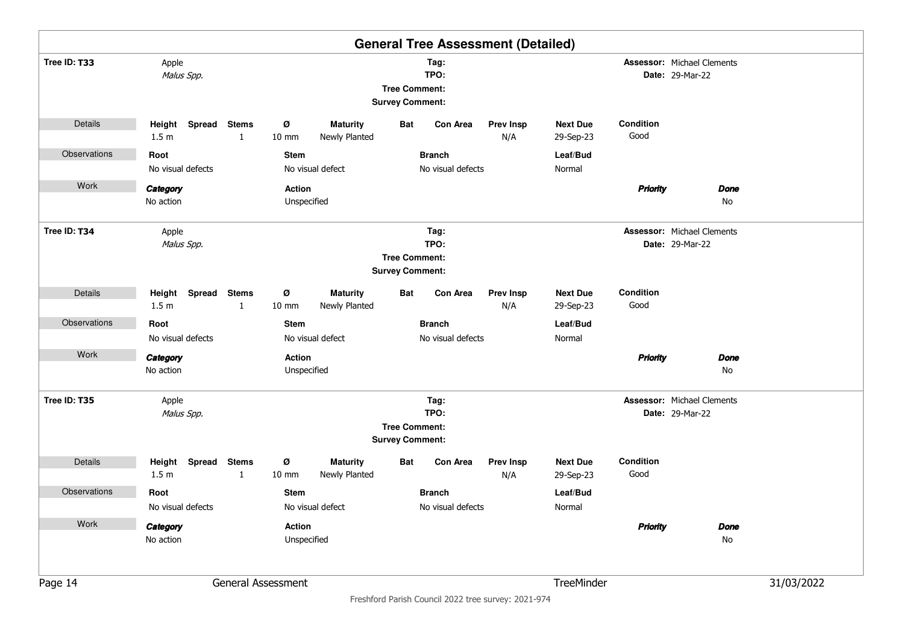|              |                                      |                              |                        |                                  |                                                |                   | <b>General Tree Assessment (Detailed)</b> |                              |                   |                                                             |            |
|--------------|--------------------------------------|------------------------------|------------------------|----------------------------------|------------------------------------------------|-------------------|-------------------------------------------|------------------------------|-------------------|-------------------------------------------------------------|------------|
| Tree ID: T33 | Apple<br>Malus Spp.                  |                              |                        |                                  | <b>Tree Comment:</b><br><b>Survey Comment:</b> | Tag:<br>TPO:      |                                           |                              |                   | <b>Assessor: Michael Clements</b><br><b>Date: 29-Mar-22</b> |            |
| Details      | Spread<br>Height<br>1.5 <sub>m</sub> | <b>Stems</b><br>1            | ø<br>$10 \, \text{mm}$ | <b>Maturity</b><br>Newly Planted | <b>Bat</b>                                     | <b>Con Area</b>   | <b>Prev Insp</b><br>N/A                   | <b>Next Due</b><br>29-Sep-23 | Condition<br>Good |                                                             |            |
| Observations | Root                                 |                              | <b>Stem</b>            |                                  |                                                | <b>Branch</b>     |                                           | Leaf/Bud                     |                   |                                                             |            |
|              | No visual defects                    |                              |                        | No visual defect                 |                                                | No visual defects |                                           | Normal                       |                   |                                                             |            |
| Work         | Category                             |                              | <b>Action</b>          |                                  |                                                |                   |                                           |                              | <b>Priority</b>   | <b>Done</b>                                                 |            |
|              | No action                            |                              | Unspecified            |                                  |                                                |                   |                                           |                              |                   | No                                                          |            |
| Tree ID: T34 | Apple<br>Malus Spp.                  |                              |                        |                                  |                                                | Tag:<br>TPO:      |                                           |                              |                   | <b>Assessor: Michael Clements</b><br><b>Date: 29-Mar-22</b> |            |
|              |                                      |                              |                        |                                  | <b>Tree Comment:</b>                           |                   |                                           |                              |                   |                                                             |            |
|              |                                      |                              |                        |                                  | <b>Survey Comment:</b>                         |                   |                                           |                              |                   |                                                             |            |
| Details      | Height<br>1.5 <sub>m</sub>           | Spread Stems<br>1            | ø<br>$10 \text{ mm}$   | <b>Maturity</b><br>Newly Planted | Bat                                            | Con Area          | <b>Prev Insp</b><br>N/A                   | <b>Next Due</b><br>29-Sep-23 | Condition<br>Good |                                                             |            |
| Observations | Root                                 |                              | <b>Stem</b>            |                                  |                                                | <b>Branch</b>     |                                           | Leaf/Bud                     |                   |                                                             |            |
|              | No visual defects                    |                              |                        | No visual defect                 |                                                | No visual defects |                                           | Normal                       |                   |                                                             |            |
| Work         | Category                             |                              | <b>Action</b>          |                                  |                                                |                   |                                           |                              | <b>Priority</b>   | <b>Done</b>                                                 |            |
|              | No action                            |                              | Unspecified            |                                  |                                                |                   |                                           |                              |                   | No                                                          |            |
| Tree ID: T35 | Apple                                |                              |                        |                                  |                                                | Tag:              |                                           |                              |                   | <b>Assessor: Michael Clements</b>                           |            |
|              | Malus Spp.                           |                              |                        |                                  |                                                | TPO:              |                                           |                              |                   | <b>Date: 29-Mar-22</b>                                      |            |
|              |                                      |                              |                        |                                  | <b>Tree Comment:</b><br><b>Survey Comment:</b> |                   |                                           |                              |                   |                                                             |            |
| Details      | Spread<br>Height<br>1.5 <sub>m</sub> | <b>Stems</b><br>$\mathbf{1}$ | ø<br>$10 \text{ mm}$   | <b>Maturity</b><br>Newly Planted | Bat                                            | <b>Con Area</b>   | <b>Prev Insp</b><br>N/A                   | <b>Next Due</b><br>29-Sep-23 | Condition<br>Good |                                                             |            |
| Observations | Root                                 |                              | <b>Stem</b>            |                                  |                                                | <b>Branch</b>     |                                           | Leaf/Bud                     |                   |                                                             |            |
|              | No visual defects                    |                              |                        | No visual defect                 |                                                | No visual defects |                                           | Normal                       |                   |                                                             |            |
| Work         | Category                             |                              | Action                 |                                  |                                                |                   |                                           |                              | <b>Priority</b>   | <b>Done</b>                                                 |            |
|              | No action                            |                              | Unspecified            |                                  |                                                |                   |                                           |                              |                   | No                                                          |            |
|              |                                      |                              |                        |                                  |                                                |                   |                                           |                              |                   |                                                             |            |
| Page 14      |                                      |                              | General Assessment     |                                  |                                                |                   |                                           | TreeMinder                   |                   |                                                             | 31/03/2022 |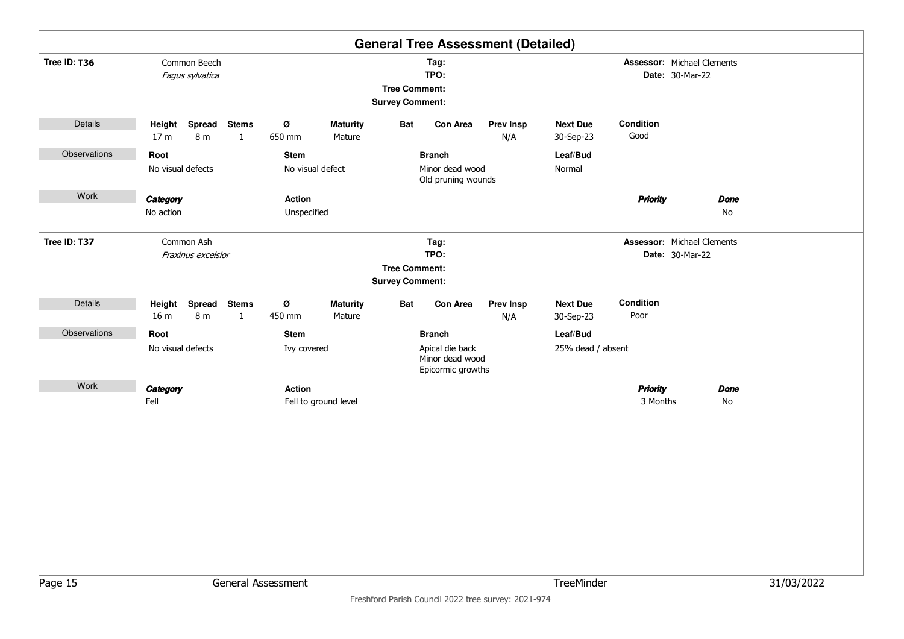|              |                                                                        |                                          | <b>General Tree Assessment (Detailed)</b>                                |                                                             |            |
|--------------|------------------------------------------------------------------------|------------------------------------------|--------------------------------------------------------------------------|-------------------------------------------------------------|------------|
| Tree ID: T36 | Common Beech<br>Fagus sylvatica                                        |                                          | Tag:<br>TPO:<br><b>Tree Comment:</b><br><b>Survey Comment:</b>           | Assessor: Michael Clements<br>Date: 30-Mar-22               |            |
| Details      | Spread Stems<br>Height<br>8 m<br>17 <sub>m</sub><br>$\mathbf{1}$       | Ø<br><b>Maturity</b><br>650 mm<br>Mature | Con Area<br>Bat<br><b>Prev Insp</b><br>N/A                               | Condition<br><b>Next Due</b><br>Good<br>30-Sep-23           |            |
| Observations | Root<br>No visual defects                                              | <b>Stem</b><br>No visual defect          | <b>Branch</b><br>Minor dead wood<br>Old pruning wounds                   | Leaf/Bud<br>Normal                                          |            |
| Work         | Category<br>No action                                                  | Action<br>Unspecified                    |                                                                          | <b>Priority</b><br><b>Done</b><br>No                        |            |
| Tree ID: T37 | Common Ash<br>Fraxinus excelsior                                       |                                          | Tag:<br>TPO:<br><b>Tree Comment:</b><br><b>Survey Comment:</b>           | <b>Assessor: Michael Clements</b><br><b>Date: 30-Mar-22</b> |            |
| Details      | <b>Spread</b><br><b>Stems</b><br>Height<br>8 m<br>16 m<br>$\mathbf{1}$ | Ø<br><b>Maturity</b><br>450 mm<br>Mature | <b>Bat</b><br>Con Area<br><b>Prev Insp</b><br>N/A                        | Condition<br><b>Next Due</b><br>Poor<br>30-Sep-23           |            |
| Observations | Root<br>No visual defects                                              | Stem<br>Ivy covered                      | <b>Branch</b><br>Apical die back<br>Minor dead wood<br>Epicormic growths | Leaf/Bud<br>25% dead / absent                               |            |
| Work         | Category<br>Fell                                                       | Action<br>Fell to ground level           |                                                                          | <b>Priority</b><br><b>Done</b><br>3 Months<br>No            |            |
|              |                                                                        |                                          |                                                                          |                                                             |            |
| Page 15      |                                                                        | General Assessment                       |                                                                          | TreeMinder                                                  | 31/03/2022 |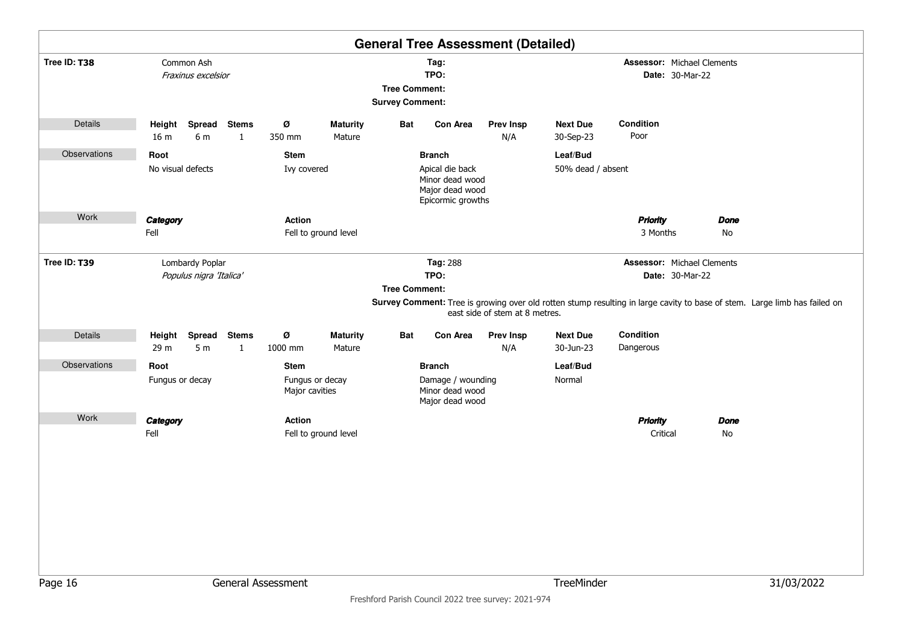|              |                                                                  |                                                  | <b>General Tree Assessment (Detailed)</b>                                                                                                                                                               |                                                        |                   |
|--------------|------------------------------------------------------------------|--------------------------------------------------|---------------------------------------------------------------------------------------------------------------------------------------------------------------------------------------------------------|--------------------------------------------------------|-------------------|
| Tree ID: T38 | Common Ash<br>Fraxinus excelsior                                 |                                                  | Tag:<br>TPO:<br><b>Tree Comment:</b><br><b>Survey Comment:</b>                                                                                                                                          | <b>Assessor: Michael Clements</b><br>Date: 30-Mar-22   |                   |
| Details      | Spread<br><b>Stems</b><br>Height<br>16 m<br>6 m<br>$\mathbf{1}$  | Ø<br><b>Maturity</b><br>350 mm<br>Mature         | <b>Bat</b><br>Con Area<br><b>Prev Insp</b><br>N/A                                                                                                                                                       | Condition<br><b>Next Due</b><br>Poor<br>30-Sep-23      |                   |
| Observations | Root<br>No visual defects                                        | <b>Stem</b><br>Ivy covered                       | <b>Branch</b><br>Apical die back<br>Minor dead wood                                                                                                                                                     | Leaf/Bud<br>50% dead / absent                          |                   |
| Work         |                                                                  |                                                  | Major dead wood<br>Epicormic growths                                                                                                                                                                    |                                                        |                   |
|              | Category<br>Fell                                                 | <b>Action</b><br>Fell to ground level            |                                                                                                                                                                                                         | <b>Priority</b><br>3 Months                            | <b>Done</b><br>No |
| Tree ID: T39 | Lombardy Poplar<br>Populus nigra 'Italica'                       |                                                  | Tag: 288<br>TPO:<br><b>Tree Comment:</b><br>Survey Comment: Tree is growing over old rotten stump resulting in large cavity to base of stem. Large limb has failed on<br>east side of stem at 8 metres. | <b>Assessor: Michael Clements</b><br>Date: 30-Mar-22   |                   |
| Details      | Spread Stems<br>Height<br>5 <sub>m</sub><br>$\mathbf{1}$<br>29 m | Ø<br><b>Maturity</b><br>1000 mm<br>Mature        | <b>Bat</b><br>Con Area<br><b>Prev Insp</b><br>N/A                                                                                                                                                       | Condition<br><b>Next Due</b><br>Dangerous<br>30-Jun-23 |                   |
| Observations | Root<br>Fungus or decay                                          | <b>Stem</b><br>Fungus or decay<br>Major cavities | <b>Branch</b><br>Damage / wounding<br>Minor dead wood<br>Major dead wood                                                                                                                                | Leaf/Bud<br>Normal                                     |                   |
| Work         | Category<br>Fell                                                 | <b>Action</b><br>Fell to ground level            |                                                                                                                                                                                                         | <b>Priority</b><br>Critical                            | <b>Done</b><br>No |
|              |                                                                  |                                                  |                                                                                                                                                                                                         |                                                        |                   |
| Page 16      |                                                                  | General Assessment                               |                                                                                                                                                                                                         | TreeMinder                                             | 31/03/2022        |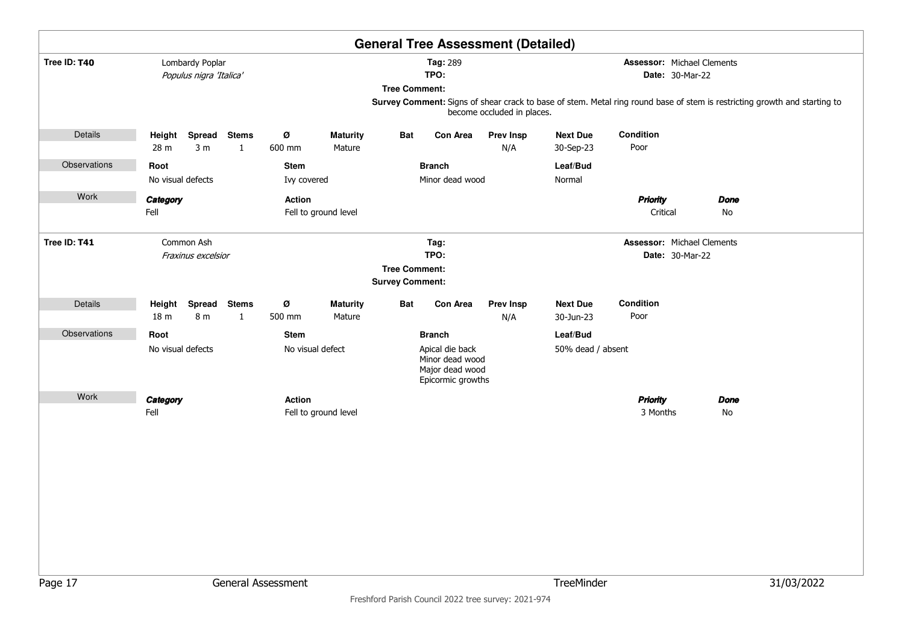|              |                           |                                            |                              |                            |                                                                        |                                                |                                                                            | <b>General Tree Assessment (Detailed)</b> |                              |                                                                                                                                                                                   |             |            |  |
|--------------|---------------------------|--------------------------------------------|------------------------------|----------------------------|------------------------------------------------------------------------|------------------------------------------------|----------------------------------------------------------------------------|-------------------------------------------|------------------------------|-----------------------------------------------------------------------------------------------------------------------------------------------------------------------------------|-------------|------------|--|
| Tree ID: T40 |                           | Lombardy Poplar<br>Populus nigra 'Italica' |                              |                            | Tag: 289<br>TPO:<br><b>Tree Comment:</b><br>become occluded in places. |                                                |                                                                            |                                           |                              | <b>Assessor: Michael Clements</b><br>Date: 30-Mar-22<br>Survey Comment: Signs of shear crack to base of stem. Metal ring round base of stem is restricting growth and starting to |             |            |  |
|              |                           |                                            |                              |                            |                                                                        |                                                |                                                                            |                                           |                              |                                                                                                                                                                                   |             |            |  |
| Details      | Height<br>28 m            | Spread<br>3 <sub>m</sub>                   | <b>Stems</b><br>$\mathbf{1}$ | Ø<br>600 mm                | <b>Maturity</b><br>Mature                                              | Bat                                            | Con Area                                                                   | <b>Prev Insp</b><br>N/A                   | <b>Next Due</b><br>30-Sep-23 | Condition<br>Poor                                                                                                                                                                 |             |            |  |
| Observations | Root                      | No visual defects                          |                              | <b>Stem</b><br>Ivy covered |                                                                        |                                                | <b>Branch</b><br>Minor dead wood                                           |                                           | Leaf/Bud<br>Normal           |                                                                                                                                                                                   |             |            |  |
| Work         | Category<br>Fell          |                                            |                              | <b>Action</b>              | Fell to ground level                                                   |                                                |                                                                            |                                           |                              | <b>Priority</b><br>Critical                                                                                                                                                       | Done<br>No  |            |  |
| Tree ID: T41 |                           | Common Ash<br>Fraxinus excelsior           |                              |                            |                                                                        | <b>Tree Comment:</b><br><b>Survey Comment:</b> | Tag:<br>TPO:                                                               |                                           |                              | Assessor: Michael Clements<br>Date: 30-Mar-22                                                                                                                                     |             |            |  |
| Details      | Height<br>18 <sub>m</sub> | Spread<br>8 m                              | <b>Stems</b><br>$\mathbf{1}$ | Ø<br>500 mm                | <b>Maturity</b><br>Mature                                              | Bat                                            | Con Area                                                                   | <b>Prev Insp</b><br>N/A                   | <b>Next Due</b><br>30-Jun-23 | Condition<br>Poor                                                                                                                                                                 |             |            |  |
| Observations | Root                      |                                            |                              | <b>Stem</b>                |                                                                        |                                                | <b>Branch</b>                                                              |                                           | Leaf/Bud                     |                                                                                                                                                                                   |             |            |  |
|              |                           | No visual defects                          |                              | No visual defect           |                                                                        |                                                | Apical die back<br>Minor dead wood<br>Major dead wood<br>Epicormic growths |                                           | 50% dead / absent            |                                                                                                                                                                                   |             |            |  |
| Work         | Category                  |                                            |                              | <b>Action</b>              |                                                                        |                                                |                                                                            |                                           |                              | <b>Priority</b>                                                                                                                                                                   | <b>Done</b> |            |  |
|              | Fell                      |                                            |                              |                            | Fell to ground level                                                   |                                                |                                                                            |                                           |                              | 3 Months                                                                                                                                                                          | No          |            |  |
| Page 17      |                           |                                            |                              | General Assessment         |                                                                        |                                                |                                                                            |                                           | TreeMinder                   |                                                                                                                                                                                   |             | 31/03/2022 |  |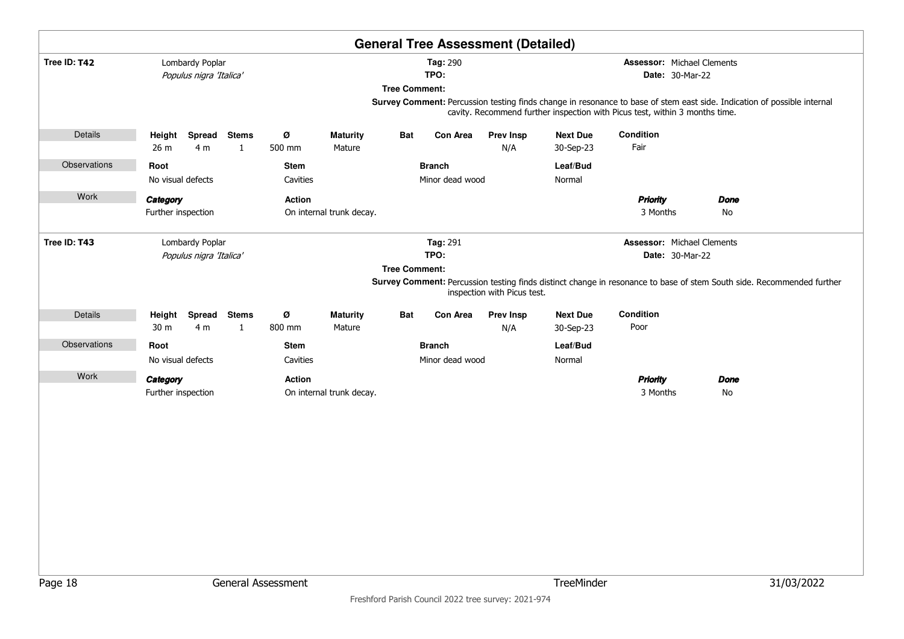|              |                                |                                            |                   |                         |                           |                      |                                  | <b>General Tree Assessment (Detailed)</b> |                              |                                                                                                                                                                                                        |                   |            |
|--------------|--------------------------------|--------------------------------------------|-------------------|-------------------------|---------------------------|----------------------|----------------------------------|-------------------------------------------|------------------------------|--------------------------------------------------------------------------------------------------------------------------------------------------------------------------------------------------------|-------------------|------------|
| Tree ID: T42 |                                | Lombardy Poplar<br>Populus nigra 'Italica' |                   |                         |                           | <b>Tree Comment:</b> | Tag: 290<br>TPO:                 |                                           |                              | <b>Assessor: Michael Clements</b><br><b>Date: 30-Mar-22</b>                                                                                                                                            |                   |            |
|              |                                |                                            |                   |                         |                           |                      |                                  |                                           |                              | Survey Comment: Percussion testing finds change in resonance to base of stem east side. Indication of possible internal<br>cavity. Recommend further inspection with Picus test, within 3 months time. |                   |            |
| Details      | Height<br>26 m                 | Spread<br>4 <sub>m</sub>                   | <b>Stems</b><br>1 | Ø<br>500 mm             | <b>Maturity</b><br>Mature | <b>Bat</b>           | Con Area                         | <b>Prev Insp</b><br>N/A                   | <b>Next Due</b><br>30-Sep-23 | Condition<br>Fair                                                                                                                                                                                      |                   |            |
| Observations | Root<br>No visual defects      |                                            |                   | <b>Stem</b><br>Cavities |                           |                      | <b>Branch</b><br>Minor dead wood |                                           | Leaf/Bud<br>Normal           |                                                                                                                                                                                                        |                   |            |
| Work         | Category<br>Further inspection |                                            |                   | <b>Action</b>           | On internal trunk decay.  |                      |                                  |                                           |                              | <b>Priority</b><br>3 Months                                                                                                                                                                            | Done<br>No        |            |
| Tree ID: T43 |                                | Lombardy Poplar<br>Populus nigra 'Italica' |                   |                         |                           | <b>Tree Comment:</b> | Tag: 291<br>TPO:                 | inspection with Picus test.               |                              | <b>Assessor: Michael Clements</b><br><b>Date: 30-Mar-22</b><br>Survey Comment: Percussion testing finds distinct change in resonance to base of stem South side. Recommended further                   |                   |            |
| Details      | Height<br>30 m                 | Spread<br>4 m                              | <b>Stems</b><br>1 | Ø<br>800 mm             | <b>Maturity</b><br>Mature | <b>Bat</b>           | Con Area                         | <b>Prev Insp</b><br>N/A                   | <b>Next Due</b><br>30-Sep-23 | Condition<br>Poor                                                                                                                                                                                      |                   |            |
| Observations | Root<br>No visual defects      |                                            |                   | <b>Stem</b><br>Cavities |                           |                      | <b>Branch</b><br>Minor dead wood |                                           | Leaf/Bud<br>Normal           |                                                                                                                                                                                                        |                   |            |
| Work         | Category<br>Further inspection |                                            |                   | <b>Action</b>           | On internal trunk decay.  |                      |                                  |                                           |                              | <b>Priority</b><br>3 Months                                                                                                                                                                            | <b>Done</b><br>No |            |
| Page 18      |                                |                                            |                   | General Assessment      |                           |                      |                                  |                                           | TreeMinder                   |                                                                                                                                                                                                        |                   | 31/03/2022 |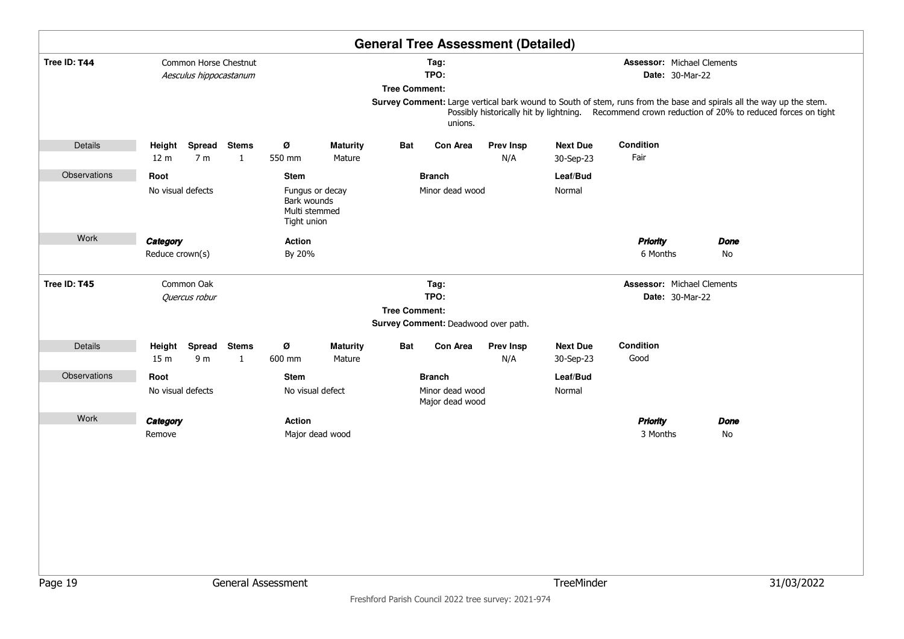|              |                           |                                                 |                   |                                                                |                           |                      |                                     | <b>General Tree Assessment (Detailed)</b> |                              |                                                                                                                                                                                                                            |             |            |
|--------------|---------------------------|-------------------------------------------------|-------------------|----------------------------------------------------------------|---------------------------|----------------------|-------------------------------------|-------------------------------------------|------------------------------|----------------------------------------------------------------------------------------------------------------------------------------------------------------------------------------------------------------------------|-------------|------------|
| Tree ID: T44 |                           | Common Horse Chestnut<br>Aesculus hippocastanum |                   |                                                                |                           |                      | Tag:<br>TPO:                        |                                           |                              | <b>Assessor: Michael Clements</b><br><b>Date: 30-Mar-22</b>                                                                                                                                                                |             |            |
|              |                           |                                                 |                   |                                                                |                           | <b>Tree Comment:</b> | unions.                             |                                           |                              | Survey Comment: Large vertical bark wound to South of stem, runs from the base and spirals all the way up the stem.<br>Possibly historically hit by lightning. Recommend crown reduction of 20% to reduced forces on tight |             |            |
| Details      | Height<br>12 <sub>m</sub> | Spread Stems<br>7 <sub>m</sub>                  | $\mathbf{1}$      | Ø<br>550 mm                                                    | <b>Maturity</b><br>Mature | Bat                  | Con Area                            | <b>Prev Insp</b><br>N/A                   | <b>Next Due</b><br>30-Sep-23 | Condition<br>Fair                                                                                                                                                                                                          |             |            |
| Observations | Root                      |                                                 |                   | <b>Stem</b>                                                    |                           |                      | <b>Branch</b>                       |                                           | Leaf/Bud                     |                                                                                                                                                                                                                            |             |            |
|              | No visual defects         |                                                 |                   | Fungus or decay<br>Bark wounds<br>Multi stemmed<br>Tight union |                           |                      | Minor dead wood                     |                                           | Normal                       |                                                                                                                                                                                                                            |             |            |
| Work         | Category                  |                                                 |                   | Action                                                         |                           |                      |                                     |                                           |                              | <b>Priority</b>                                                                                                                                                                                                            | <b>Done</b> |            |
|              | Reduce crown(s)           |                                                 |                   | By 20%                                                         |                           |                      |                                     |                                           |                              | 6 Months                                                                                                                                                                                                                   | No          |            |
| Tree ID: T45 |                           | Common Oak                                      |                   |                                                                |                           |                      | Tag:                                |                                           |                              | <b>Assessor: Michael Clements</b>                                                                                                                                                                                          |             |            |
|              |                           | Quercus robur                                   |                   |                                                                |                           |                      | TPO:                                |                                           |                              | <b>Date: 30-Mar-22</b>                                                                                                                                                                                                     |             |            |
|              |                           |                                                 |                   |                                                                |                           | <b>Tree Comment:</b> | Survey Comment: Deadwood over path. |                                           |                              |                                                                                                                                                                                                                            |             |            |
| Details      | Height<br>15 <sub>m</sub> | Spread<br>9 m                                   | <b>Stems</b><br>1 | ø<br>600 mm                                                    | <b>Maturity</b><br>Mature | <b>Bat</b>           | Con Area                            | <b>Prev Insp</b><br>N/A                   | <b>Next Due</b><br>30-Sep-23 | Condition<br>Good                                                                                                                                                                                                          |             |            |
| Observations | Root                      |                                                 |                   | <b>Stem</b>                                                    |                           |                      | <b>Branch</b>                       |                                           | Leaf/Bud                     |                                                                                                                                                                                                                            |             |            |
|              | No visual defects         |                                                 |                   | No visual defect                                               |                           |                      | Minor dead wood<br>Major dead wood  |                                           | Normal                       |                                                                                                                                                                                                                            |             |            |
| Work         | Category<br>Remove        |                                                 |                   | <b>Action</b><br>Major dead wood                               |                           |                      |                                     |                                           |                              | <b>Priority</b><br>3 Months                                                                                                                                                                                                | Done<br>No  |            |
|              |                           |                                                 |                   |                                                                |                           |                      |                                     |                                           |                              |                                                                                                                                                                                                                            |             |            |
|              |                           |                                                 |                   |                                                                |                           |                      |                                     |                                           |                              |                                                                                                                                                                                                                            |             |            |
|              |                           |                                                 |                   |                                                                |                           |                      |                                     |                                           |                              |                                                                                                                                                                                                                            |             |            |
|              |                           |                                                 |                   |                                                                |                           |                      |                                     |                                           |                              |                                                                                                                                                                                                                            |             |            |
| Page 19      |                           |                                                 |                   | General Assessment                                             |                           |                      |                                     |                                           | TreeMinder                   |                                                                                                                                                                                                                            |             | 31/03/2022 |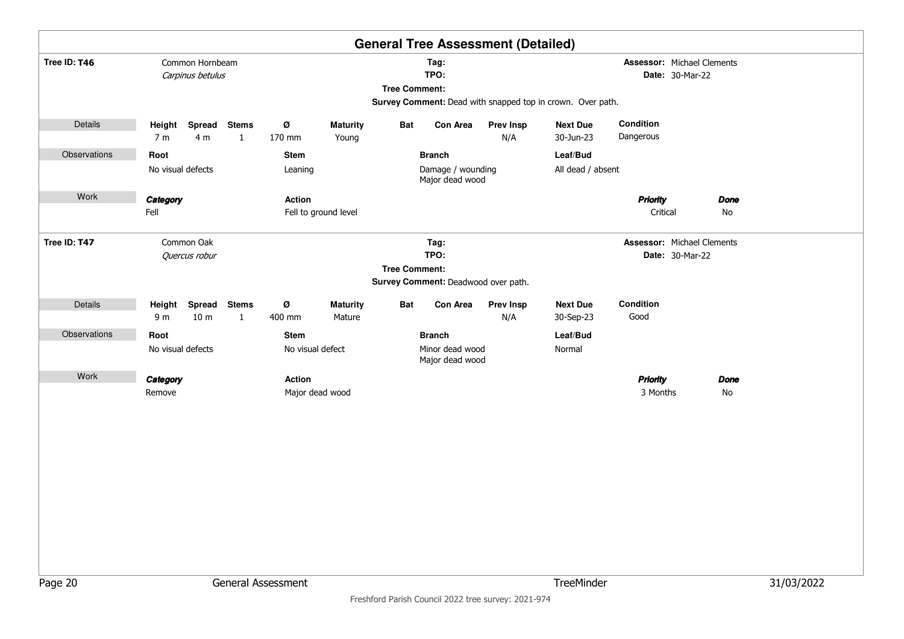|              |                                                                                                                                                                                                   |                                  |                              |                        |                           |                      |                                                       | <b>General Tree Assessment (Detailed)</b> |                               |                                               |                   |            |
|--------------|---------------------------------------------------------------------------------------------------------------------------------------------------------------------------------------------------|----------------------------------|------------------------------|------------------------|---------------------------|----------------------|-------------------------------------------------------|-------------------------------------------|-------------------------------|-----------------------------------------------|-------------------|------------|
| Tree ID: T46 | Common Hornbeam<br><b>Assessor: Michael Clements</b><br>Tag:<br>TPO:<br>Date: 30-Mar-22<br>Carpinus betulus<br><b>Tree Comment:</b><br>Survey Comment: Dead with snapped top in crown. Over path. |                                  |                              |                        |                           |                      |                                                       |                                           |                               |                                               |                   |            |
| Details      |                                                                                                                                                                                                   | Height Spread Stems              |                              | Ø                      | <b>Maturity</b>           | <b>Bat</b>           | Con Area                                              | <b>Prev Insp</b>                          | <b>Next Due</b>               | Condition                                     |                   |            |
|              | 7 <sub>m</sub>                                                                                                                                                                                    | 4 m                              | $\mathbf{1}$                 | 170 mm                 | Young                     |                      |                                                       | N/A                                       | 30-Jun-23                     | Dangerous                                     |                   |            |
| Observations | Root                                                                                                                                                                                              | No visual defects                |                              | <b>Stem</b><br>Leaning |                           |                      | <b>Branch</b><br>Damage / wounding<br>Major dead wood |                                           | Leaf/Bud<br>All dead / absent |                                               |                   |            |
| Work         | Category<br>Fell                                                                                                                                                                                  |                                  |                              | <b>Action</b>          | Fell to ground level      |                      |                                                       |                                           |                               | <b>Priority</b><br>Critical                   | <b>Done</b><br>No |            |
| Tree ID: T47 |                                                                                                                                                                                                   | Common Oak<br>Quercus robur      |                              |                        |                           | <b>Tree Comment:</b> | Tag:<br>TPO:<br>Survey Comment: Deadwood over path.   |                                           |                               | Assessor: Michael Clements<br>Date: 30-Mar-22 |                   |            |
| Details      | Height<br>9 <sub>m</sub>                                                                                                                                                                          | <b>Spread</b><br>10 <sub>m</sub> | <b>Stems</b><br>$\mathbf{1}$ | Ø<br>400 mm            | <b>Maturity</b><br>Mature | Bat                  | <b>Con Area</b>                                       | <b>Prev Insp</b><br>N/A                   | <b>Next Due</b><br>30-Sep-23  | Condition<br>Good                             |                   |            |
| Observations | Root                                                                                                                                                                                              |                                  |                              | <b>Stem</b>            |                           |                      | <b>Branch</b>                                         |                                           | Leaf/Bud                      |                                               |                   |            |
|              |                                                                                                                                                                                                   | No visual defects                |                              | No visual defect       |                           |                      | Minor dead wood<br>Major dead wood                    |                                           | Normal                        |                                               |                   |            |
| Work         | Category                                                                                                                                                                                          |                                  |                              | <b>Action</b>          |                           |                      |                                                       |                                           |                               | <b>Priority</b>                               | <b>Done</b>       |            |
|              | Remove                                                                                                                                                                                            |                                  |                              |                        | Major dead wood           |                      |                                                       |                                           |                               | 3 Months                                      | No                |            |
|              |                                                                                                                                                                                                   |                                  |                              |                        |                           |                      |                                                       |                                           |                               |                                               |                   |            |
|              |                                                                                                                                                                                                   |                                  |                              |                        |                           |                      |                                                       |                                           |                               |                                               |                   |            |
|              |                                                                                                                                                                                                   |                                  |                              |                        |                           |                      |                                                       |                                           |                               |                                               |                   |            |
|              |                                                                                                                                                                                                   |                                  |                              |                        |                           |                      |                                                       |                                           |                               |                                               |                   |            |
| Page 20      |                                                                                                                                                                                                   |                                  |                              | General Assessment     |                           |                      |                                                       |                                           | TreeMinder                    |                                               |                   | 31/03/2022 |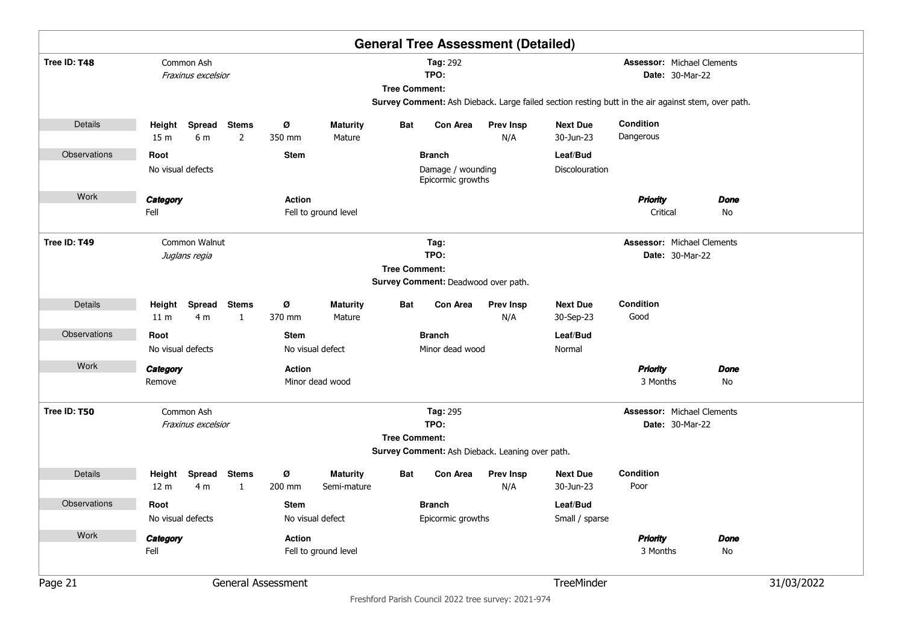|                     |                           |                                  |                   |               |                           |                      |                                        | <b>General Tree Assessment (Detailed)</b>       |                                                                                                    |                                                      |             |            |
|---------------------|---------------------------|----------------------------------|-------------------|---------------|---------------------------|----------------------|----------------------------------------|-------------------------------------------------|----------------------------------------------------------------------------------------------------|------------------------------------------------------|-------------|------------|
| Tree ID: T48        |                           | Common Ash<br>Fraxinus excelsior |                   |               |                           | <b>Tree Comment:</b> | <b>Tag: 292</b><br>TPO:                |                                                 |                                                                                                    | <b>Assessor: Michael Clements</b><br>Date: 30-Mar-22 |             |            |
|                     |                           |                                  |                   |               |                           |                      |                                        |                                                 | Survey Comment: Ash Dieback. Large failed section resting butt in the air against stem, over path. |                                                      |             |            |
| Details             | 15 <sub>m</sub>           | Height Spread Stems<br>6 m       | $\overline{2}$    | Ø<br>350 mm   | <b>Maturity</b><br>Mature | Bat                  | <b>Con Area</b>                        | <b>Prev Insp</b><br>N/A                         | <b>Next Due</b><br>30-Jun-23                                                                       | Condition<br>Dangerous                               |             |            |
| Observations        | Root                      |                                  |                   | <b>Stem</b>   |                           |                      | <b>Branch</b>                          |                                                 | Leaf/Bud                                                                                           |                                                      |             |            |
|                     | No visual defects         |                                  |                   |               |                           |                      | Damage / wounding<br>Epicormic growths |                                                 | Discolouration                                                                                     |                                                      |             |            |
| Work                | Category                  |                                  |                   | <b>Action</b> |                           |                      |                                        |                                                 |                                                                                                    | <b>Priority</b>                                      | Done        |            |
|                     | Fell                      |                                  |                   |               | Fell to ground level      |                      |                                        |                                                 |                                                                                                    | Critical                                             | No          |            |
| Tree ID: T49        |                           | Common Walnut                    |                   |               |                           |                      | Tag:                                   |                                                 |                                                                                                    | <b>Assessor: Michael Clements</b>                    |             |            |
|                     |                           | Juglans regia                    |                   |               |                           | <b>Tree Comment:</b> | TPO:                                   |                                                 |                                                                                                    | Date: 30-Mar-22                                      |             |            |
|                     |                           |                                  |                   |               |                           |                      | Survey Comment: Deadwood over path.    |                                                 |                                                                                                    |                                                      |             |            |
| Details             | Height<br>11 <sub>m</sub> | Spread<br>4 m                    | <b>Stems</b><br>1 | Ø<br>370 mm   | <b>Maturity</b><br>Mature | Bat                  | <b>Con Area</b>                        | <b>Prev Insp</b><br>N/A                         | <b>Next Due</b><br>30-Sep-23                                                                       | Condition<br>Good                                    |             |            |
| Observations        | Root                      |                                  |                   | <b>Stem</b>   |                           |                      | <b>Branch</b>                          |                                                 | Leaf/Bud                                                                                           |                                                      |             |            |
|                     | No visual defects         |                                  |                   |               | No visual defect          |                      | Minor dead wood                        |                                                 | Normal                                                                                             |                                                      |             |            |
| Work                | Category                  |                                  |                   | <b>Action</b> |                           |                      |                                        |                                                 |                                                                                                    | <b>Priority</b>                                      | Done        |            |
|                     | Remove                    |                                  |                   |               | Minor dead wood           |                      |                                        |                                                 |                                                                                                    | 3 Months                                             | No          |            |
| Tree ID: T50        |                           | Common Ash                       |                   |               |                           |                      | Tag: 295<br>TPO:                       |                                                 |                                                                                                    | <b>Assessor: Michael Clements</b>                    |             |            |
|                     |                           | Fraxinus excelsior               |                   |               |                           | <b>Tree Comment:</b> |                                        |                                                 |                                                                                                    | <b>Date: 30-Mar-22</b>                               |             |            |
|                     |                           |                                  |                   |               |                           |                      |                                        | Survey Comment: Ash Dieback. Leaning over path. |                                                                                                    |                                                      |             |            |
| Details             | Height                    | Spread Stems                     |                   | Ø             | <b>Maturity</b>           | Bat                  | Con Area                               | <b>Prev Insp</b>                                | <b>Next Due</b>                                                                                    | Condition                                            |             |            |
|                     | 12 <sub>m</sub>           | 4 m                              | 1                 | 200 mm        | Semi-mature               |                      |                                        | N/A                                             | 30-Jun-23                                                                                          | Poor                                                 |             |            |
| <b>Observations</b> | Root                      |                                  |                   | <b>Stem</b>   |                           |                      | <b>Branch</b>                          |                                                 | Leaf/Bud                                                                                           |                                                      |             |            |
|                     | No visual defects         |                                  |                   |               | No visual defect          |                      | Epicormic growths                      |                                                 | Small / sparse                                                                                     |                                                      |             |            |
| Work                | Category                  |                                  |                   | <b>Action</b> |                           |                      |                                        |                                                 |                                                                                                    | <b>Priority</b>                                      | <b>Done</b> |            |
|                     | Fell                      |                                  |                   |               | Fell to ground level      |                      |                                        |                                                 |                                                                                                    | 3 Months                                             | No          |            |
| Page 21             | General Assessment        |                                  |                   |               |                           |                      |                                        |                                                 | TreeMinder                                                                                         |                                                      |             | 31/03/2022 |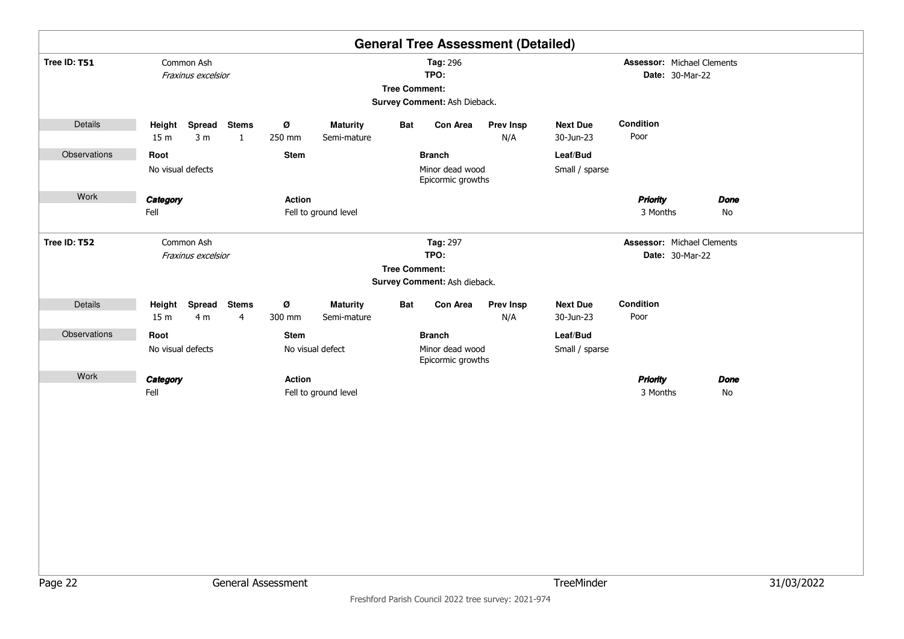|              |                           |                                       |                              |                                                                          |                                |                      |                                                       | <b>General Tree Assessment (Detailed)</b> |                              |                                   |                 |                   |            |
|--------------|---------------------------|---------------------------------------|------------------------------|--------------------------------------------------------------------------|--------------------------------|----------------------|-------------------------------------------------------|-------------------------------------------|------------------------------|-----------------------------------|-----------------|-------------------|------------|
| Tree ID: T51 |                           | Common Ash<br>Fraxinus excelsior      |                              | Tag: 296<br>TPO:<br><b>Tree Comment:</b><br>Survey Comment: Ash Dieback. |                                |                      |                                                       |                                           |                              | <b>Assessor: Michael Clements</b> | Date: 30-Mar-22 |                   |            |
| Details      | Height<br>15 <sub>m</sub> | <b>Spread</b><br>3 <sub>m</sub>       | <b>Stems</b><br>$\mathbf{1}$ | Ø<br>250 mm                                                              | <b>Maturity</b><br>Semi-mature | Bat                  | Con Area                                              | <b>Prev Insp</b><br>N/A                   | <b>Next Due</b><br>30-Jun-23 | Condition<br>Poor                 |                 |                   |            |
| Observations | Root                      | No visual defects                     |                              | <b>Stem</b>                                                              |                                |                      | <b>Branch</b><br>Minor dead wood<br>Epicormic growths |                                           | Leaf/Bud<br>Small / sparse   |                                   |                 |                   |            |
| Work         | Category<br>Fell          |                                       |                              | Action                                                                   | Fell to ground level           |                      |                                                       |                                           |                              | <b>Priority</b><br>3 Months       |                 | <b>Done</b><br>No |            |
| Tree ID: T52 |                           | Common Ash<br>Fraxinus excelsior      |                              |                                                                          |                                | <b>Tree Comment:</b> | Tag: 297<br>TPO:<br>Survey Comment: Ash dieback.      |                                           |                              | <b>Assessor: Michael Clements</b> | Date: 30-Mar-22 |                   |            |
| Details      | 15 <sub>m</sub>           | Height Spread Stems<br>4 <sub>m</sub> | $\overline{4}$               | Ø<br>300 mm                                                              | <b>Maturity</b><br>Semi-mature | Bat                  | Con Area                                              | <b>Prev Insp</b><br>N/A                   | <b>Next Due</b><br>30-Jun-23 | Condition<br>Poor                 |                 |                   |            |
| Observations | Root                      |                                       |                              | Stem                                                                     |                                |                      | <b>Branch</b>                                         |                                           | Leaf/Bud                     |                                   |                 |                   |            |
|              |                           | No visual defects                     |                              |                                                                          | No visual defect               |                      | Minor dead wood<br>Epicormic growths                  |                                           | Small / sparse               |                                   |                 |                   |            |
| Work         | Category                  |                                       |                              | <b>Action</b>                                                            |                                |                      |                                                       |                                           |                              | <b>Priority</b>                   |                 | <b>Done</b>       |            |
|              | Fell                      |                                       |                              |                                                                          | Fell to ground level           |                      |                                                       |                                           |                              | 3 Months                          |                 | No                |            |
| Page 22      |                           |                                       |                              | General Assessment                                                       |                                |                      |                                                       |                                           | TreeMinder                   |                                   |                 |                   | 31/03/2022 |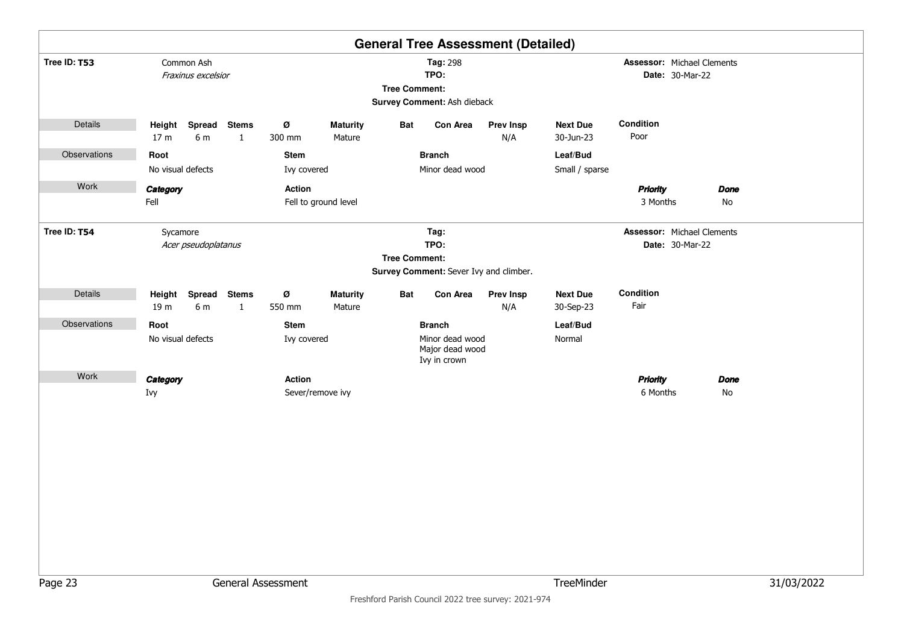|              |                                            |                              |                            |                           |                      | <b>General Tree Assessment (Detailed)</b>                           |                         |                              |                                               |                   |            |
|--------------|--------------------------------------------|------------------------------|----------------------------|---------------------------|----------------------|---------------------------------------------------------------------|-------------------------|------------------------------|-----------------------------------------------|-------------------|------------|
| Tree ID: T53 | Common Ash<br>Fraxinus excelsior           |                              |                            |                           | <b>Tree Comment:</b> | Tag: 298<br>TPO:<br>Survey Comment: Ash dieback                     |                         |                              | Assessor: Michael Clements<br>Date: 30-Mar-22 |                   |            |
| Details      | Height<br>Spread<br>17 <sub>m</sub><br>6 m | <b>Stems</b><br>$\mathbf{1}$ | Ø<br>300 mm                | <b>Maturity</b><br>Mature | Bat                  | Con Area                                                            | <b>Prev Insp</b><br>N/A | <b>Next Due</b><br>30-Jun-23 | Condition<br>Poor                             |                   |            |
| Observations | Root<br>No visual defects                  |                              | <b>Stem</b><br>Ivy covered |                           |                      | <b>Branch</b><br>Minor dead wood                                    |                         | Leaf/Bud<br>Small / sparse   |                                               |                   |            |
| Work         | Category<br>Fell                           |                              | Action                     | Fell to ground level      |                      |                                                                     |                         |                              | <b>Priority</b><br>3 Months                   | <b>Done</b><br>No |            |
| Tree ID: T54 | Sycamore<br>Acer pseudoplatanus            |                              |                            |                           | <b>Tree Comment:</b> | Tag:<br>TPO:<br>Survey Comment: Sever Ivy and climber.              |                         |                              | Assessor: Michael Clements<br>Date: 30-Mar-22 |                   |            |
| Details      | Height<br>19 m<br>6 m                      | Spread Stems<br>$\mathbf{1}$ | Ø<br>550 mm                | <b>Maturity</b><br>Mature | Bat                  | Con Area                                                            | Prev Insp<br>N/A        | <b>Next Due</b><br>30-Sep-23 | Condition<br>Fair                             |                   |            |
| Observations | Root<br>No visual defects                  |                              | <b>Stem</b><br>Ivy covered |                           |                      | <b>Branch</b><br>Minor dead wood<br>Major dead wood<br>Ivy in crown |                         | Leaf/Bud<br>Normal           |                                               |                   |            |
| Work         | Category<br>Ivy                            |                              | <b>Action</b>              | Sever/remove ivy          |                      |                                                                     |                         |                              | <b>Priority</b><br>6 Months                   | <b>Done</b><br>No |            |
| Page 23      |                                            |                              | General Assessment         |                           |                      |                                                                     |                         | TreeMinder                   |                                               |                   | 31/03/2022 |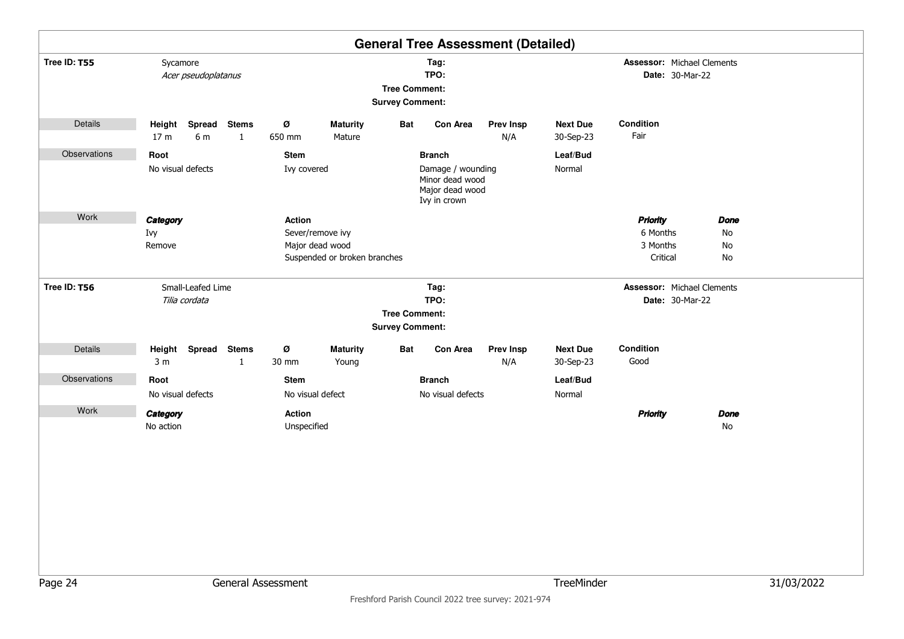|              |                                                                |                     |                                                                |                                 |                                                                     |                                                |                                                                                          | <b>General Tree Assessment (Detailed)</b>                   |                                                      |                                                     |                               |            |
|--------------|----------------------------------------------------------------|---------------------|----------------------------------------------------------------|---------------------------------|---------------------------------------------------------------------|------------------------------------------------|------------------------------------------------------------------------------------------|-------------------------------------------------------------|------------------------------------------------------|-----------------------------------------------------|-------------------------------|------------|
| Tree ID: T55 | Sycamore                                                       | Acer pseudoplatanus |                                                                |                                 |                                                                     | <b>Tree Comment:</b><br><b>Survey Comment:</b> | Tag:<br>TPO:                                                                             |                                                             | <b>Assessor: Michael Clements</b><br>Date: 30-Mar-22 |                                                     |                               |            |
| Details      | Height Spread<br>17 <sub>m</sub>                               | 6 m                 | <b>Stems</b><br>$\mathbf{1}$                                   | Ø<br>650 mm                     | <b>Maturity</b><br>Mature                                           | Bat                                            | Con Area                                                                                 | <b>Prev Insp</b><br>N/A                                     | <b>Next Due</b><br>30-Sep-23                         | Condition<br>Fair                                   |                               |            |
| Observations | Root<br>No visual defects<br>Work<br>Category<br>Ivy<br>Remove |                     |                                                                |                                 | Ivy covered                                                         |                                                | <b>Branch</b><br>Damage / wounding<br>Minor dead wood<br>Major dead wood<br>Ivy in crown |                                                             | Leaf/Bud<br>Normal                                   |                                                     |                               |            |
|              |                                                                |                     |                                                                | <b>Action</b>                   | Sever/remove ivy<br>Major dead wood<br>Suspended or broken branches |                                                |                                                                                          |                                                             |                                                      | <b>Priority</b><br>6 Months<br>3 Months<br>Critical | <b>Done</b><br>No<br>No<br>No |            |
| Tree ID: T56 | Small-Leafed Lime<br>Tilia cordata                             |                     | Tag:<br>TPO:<br><b>Tree Comment:</b><br><b>Survey Comment:</b> |                                 |                                                                     |                                                |                                                                                          | <b>Assessor: Michael Clements</b><br><b>Date: 30-Mar-22</b> |                                                      |                                                     |                               |            |
| Details      | Height Spread<br>3 <sub>m</sub>                                |                     | <b>Stems</b><br>$\mathbf{1}$                                   | Ø<br>30 mm                      | <b>Maturity</b><br>Young                                            | Bat                                            | Con Area                                                                                 | <b>Prev Insp</b><br>N/A                                     | <b>Next Due</b><br>30-Sep-23                         | Condition<br>Good                                   |                               |            |
| Observations | Root<br>No visual defects                                      |                     |                                                                | <b>Stem</b><br>No visual defect |                                                                     |                                                | <b>Branch</b><br>No visual defects                                                       |                                                             | Leaf/Bud<br>Normal                                   |                                                     |                               |            |
| Work         | Category<br>No action                                          |                     |                                                                | <b>Action</b><br>Unspecified    |                                                                     |                                                |                                                                                          |                                                             |                                                      | <b>Priority</b>                                     | <b>Done</b><br>No             |            |
| Page 24      |                                                                |                     |                                                                | General Assessment              |                                                                     |                                                |                                                                                          |                                                             | TreeMinder                                           |                                                     |                               | 31/03/2022 |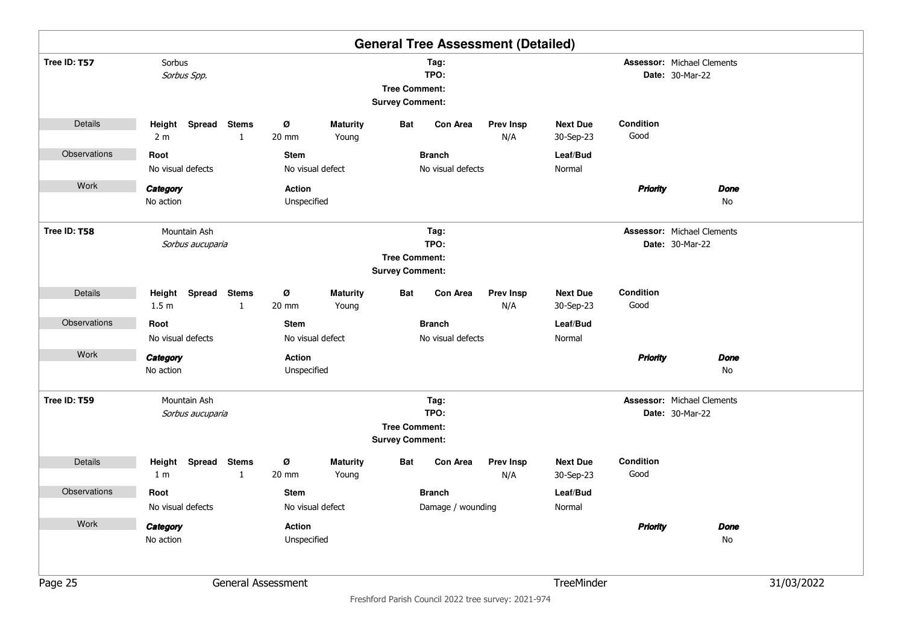|              |                                         |              |                                 |                          |                                                |                                    | <b>General Tree Assessment (Detailed)</b> |                              |                   |                                                             |            |
|--------------|-----------------------------------------|--------------|---------------------------------|--------------------------|------------------------------------------------|------------------------------------|-------------------------------------------|------------------------------|-------------------|-------------------------------------------------------------|------------|
| Tree ID: T57 | Sorbus<br>Sorbus Spp.                   |              |                                 |                          | <b>Tree Comment:</b><br><b>Survey Comment:</b> | Tag:<br>TPO:                       |                                           |                              |                   | <b>Assessor: Michael Clements</b><br><b>Date: 30-Mar-22</b> |            |
| Details      | Height Spread Stems<br>2 <sub>m</sub>   | $\mathbf{1}$ | ø<br>20 mm                      | <b>Maturity</b><br>Young | Bat                                            | <b>Con Area</b>                    | <b>Prev Insp</b><br>N/A                   | <b>Next Due</b><br>30-Sep-23 | Condition<br>Good |                                                             |            |
| Observations | Root<br>No visual defects               |              | <b>Stem</b><br>No visual defect |                          |                                                | <b>Branch</b><br>No visual defects |                                           | Leaf/Bud<br>Normal           |                   |                                                             |            |
| Work         | Category<br>No action                   |              | Action<br>Unspecified           |                          |                                                |                                    |                                           |                              | <b>Priority</b>   | <b>Done</b><br>No                                           |            |
| Tree ID: T58 | Mountain Ash<br>Sorbus aucuparia        |              |                                 |                          | <b>Tree Comment:</b><br><b>Survey Comment:</b> | Tag:<br>TPO:                       |                                           |                              |                   | <b>Assessor: Michael Clements</b><br><b>Date: 30-Mar-22</b> |            |
| Details      | Height Spread Stems<br>1.5 <sub>m</sub> | $\mathbf{1}$ | ø<br>20 mm                      | <b>Maturity</b><br>Young | Bat                                            | <b>Con Area</b>                    | <b>Prev Insp</b><br>N/A                   | <b>Next Due</b><br>30-Sep-23 | Condition<br>Good |                                                             |            |
| Observations | Root<br>No visual defects               |              | <b>Stem</b><br>No visual defect |                          |                                                | <b>Branch</b><br>No visual defects |                                           | Leaf/Bud<br>Normal           |                   |                                                             |            |
| Work         | Category<br>No action                   |              | <b>Action</b><br>Unspecified    |                          |                                                |                                    |                                           |                              | <b>Priority</b>   | <b>Done</b><br>No                                           |            |
| Tree ID: T59 | Mountain Ash<br>Sorbus aucuparia        |              |                                 |                          | <b>Tree Comment:</b><br><b>Survey Comment:</b> | Tag:<br>TPO:                       |                                           |                              |                   | <b>Assessor: Michael Clements</b><br><b>Date: 30-Mar-22</b> |            |
| Details      | Height Spread Stems<br>1 <sub>m</sub>   | $\mathbf{1}$ | ø<br>20 mm                      | <b>Maturity</b><br>Young | Bat                                            | <b>Con Area</b>                    | <b>Prev Insp</b><br>N/A                   | <b>Next Due</b><br>30-Sep-23 | Condition<br>Good |                                                             |            |
| Observations | Root<br>No visual defects               |              | <b>Stem</b><br>No visual defect |                          |                                                | <b>Branch</b><br>Damage / wounding |                                           | Leaf/Bud<br>Normal           |                   |                                                             |            |
| Work         | Category<br>No action                   |              | Action<br>Unspecified           |                          |                                                |                                    |                                           |                              | <b>Priority</b>   | <b>Done</b><br>No                                           |            |
| Page 25      |                                         |              | General Assessment              |                          |                                                |                                    |                                           | TreeMinder                   |                   |                                                             | 31/03/2022 |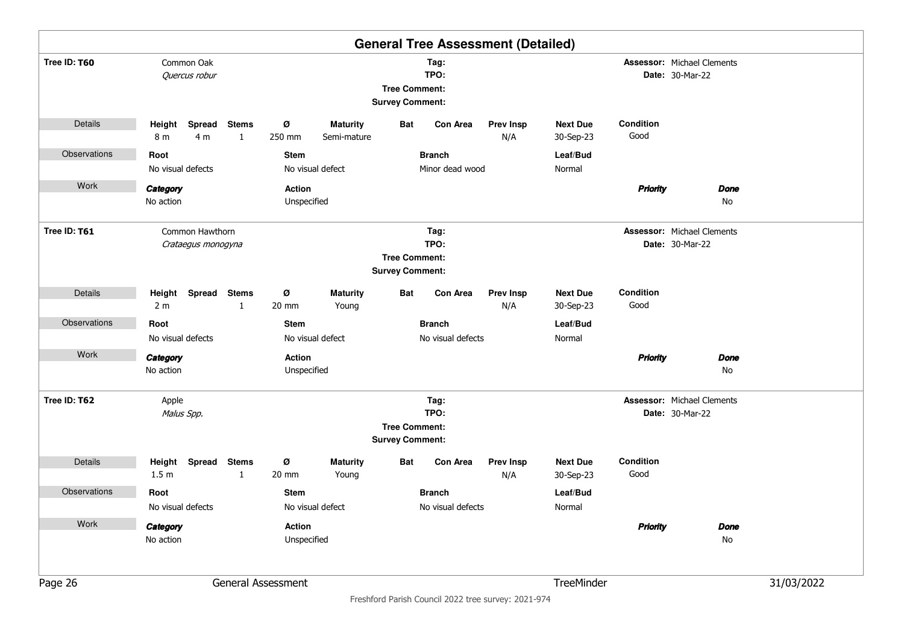|              |                            |                                       |                              |                                                                |                                |                                                |                                    | <b>General Tree Assessment (Detailed)</b> |                              |                                                             |                                                             |            |  |
|--------------|----------------------------|---------------------------------------|------------------------------|----------------------------------------------------------------|--------------------------------|------------------------------------------------|------------------------------------|-------------------------------------------|------------------------------|-------------------------------------------------------------|-------------------------------------------------------------|------------|--|
| Tree ID: T60 |                            | Common Oak<br>Quercus robur           |                              | Tag:<br>TPO:<br><b>Tree Comment:</b><br><b>Survey Comment:</b> |                                |                                                |                                    |                                           |                              | <b>Assessor: Michael Clements</b><br><b>Date: 30-Mar-22</b> |                                                             |            |  |
| Details      | Height<br>8 m              | Spread<br>4 m                         | <b>Stems</b><br>$\mathbf{1}$ | ø<br>250 mm                                                    | <b>Maturity</b><br>Semi-mature | Bat                                            | <b>Con Area</b>                    | <b>Prev Insp</b><br>N/A                   | <b>Next Due</b><br>30-Sep-23 | Condition<br>Good                                           |                                                             |            |  |
| Observations | Root                       |                                       |                              | <b>Stem</b>                                                    |                                |                                                | <b>Branch</b>                      |                                           | Leaf/Bud                     |                                                             |                                                             |            |  |
|              | No visual defects          |                                       |                              |                                                                | No visual defect               |                                                | Minor dead wood                    |                                           | Normal                       |                                                             |                                                             |            |  |
| Work         | Category                   |                                       |                              | <b>Action</b>                                                  |                                |                                                |                                    |                                           |                              | <b>Priority</b>                                             | <b>Done</b>                                                 |            |  |
|              | No action                  |                                       |                              | Unspecified                                                    |                                |                                                |                                    |                                           |                              |                                                             | No                                                          |            |  |
| Tree ID: T61 |                            | Common Hawthorn<br>Crataegus monogyna |                              |                                                                |                                |                                                | Tag:<br>TPO:                       |                                           |                              |                                                             | <b>Assessor: Michael Clements</b><br><b>Date: 30-Mar-22</b> |            |  |
|              |                            |                                       |                              |                                                                |                                | <b>Tree Comment:</b>                           |                                    |                                           |                              |                                                             |                                                             |            |  |
|              |                            |                                       |                              |                                                                |                                | <b>Survey Comment:</b>                         |                                    |                                           |                              |                                                             |                                                             |            |  |
| Details      | Height                     | Spread Stems                          |                              | ø                                                              | <b>Maturity</b>                | Bat                                            | <b>Con Area</b>                    | <b>Prev Insp</b>                          | <b>Next Due</b>              | Condition                                                   |                                                             |            |  |
|              | 2 <sub>m</sub>             |                                       | $\mathbf{1}$                 | 20 mm                                                          | Young                          |                                                |                                    | N/A                                       | 30-Sep-23                    | Good                                                        |                                                             |            |  |
| Observations | Root                       |                                       |                              | <b>Stem</b>                                                    |                                |                                                | <b>Branch</b>                      |                                           | Leaf/Bud                     |                                                             |                                                             |            |  |
|              | No visual defects          |                                       |                              |                                                                | No visual defect               |                                                | No visual defects                  |                                           | Normal                       |                                                             |                                                             |            |  |
| Work         | Category                   |                                       |                              | <b>Action</b>                                                  |                                |                                                |                                    |                                           |                              | <b>Priority</b>                                             | <b>Done</b>                                                 |            |  |
|              | No action                  |                                       |                              | Unspecified                                                    |                                |                                                |                                    |                                           |                              |                                                             | No                                                          |            |  |
| Tree ID: T62 | Apple                      |                                       |                              |                                                                |                                |                                                | Tag:                               |                                           |                              |                                                             | <b>Assessor: Michael Clements</b>                           |            |  |
|              | Malus Spp.                 |                                       |                              |                                                                |                                |                                                | TPO:                               |                                           |                              |                                                             | <b>Date: 30-Mar-22</b>                                      |            |  |
|              |                            |                                       |                              |                                                                |                                | <b>Tree Comment:</b><br><b>Survey Comment:</b> |                                    |                                           |                              |                                                             |                                                             |            |  |
| Details      | Height<br>1.5 <sub>m</sub> | Spread                                | <b>Stems</b><br>1            | ø<br>20 mm                                                     | <b>Maturity</b><br>Young       | Bat                                            | <b>Con Area</b>                    | <b>Prev Insp</b><br>N/A                   | <b>Next Due</b><br>30-Sep-23 | Condition<br>Good                                           |                                                             |            |  |
|              |                            |                                       |                              |                                                                |                                |                                                |                                    |                                           |                              |                                                             |                                                             |            |  |
| Observations | Root<br>No visual defects  |                                       |                              | <b>Stem</b>                                                    | No visual defect               |                                                | <b>Branch</b><br>No visual defects |                                           | Leaf/Bud<br>Normal           |                                                             |                                                             |            |  |
| Work         |                            |                                       |                              |                                                                |                                |                                                |                                    |                                           |                              |                                                             |                                                             |            |  |
|              | Category                   |                                       |                              | Action                                                         |                                |                                                |                                    |                                           |                              | <b>Priority</b>                                             | <b>Done</b>                                                 |            |  |
|              | No action                  |                                       |                              | Unspecified                                                    |                                |                                                |                                    |                                           |                              |                                                             | No                                                          |            |  |
| Page 26      |                            |                                       |                              | General Assessment                                             |                                |                                                |                                    |                                           | TreeMinder                   |                                                             |                                                             | 31/03/2022 |  |
|              |                            |                                       |                              |                                                                |                                |                                                |                                    |                                           |                              |                                                             |                                                             |            |  |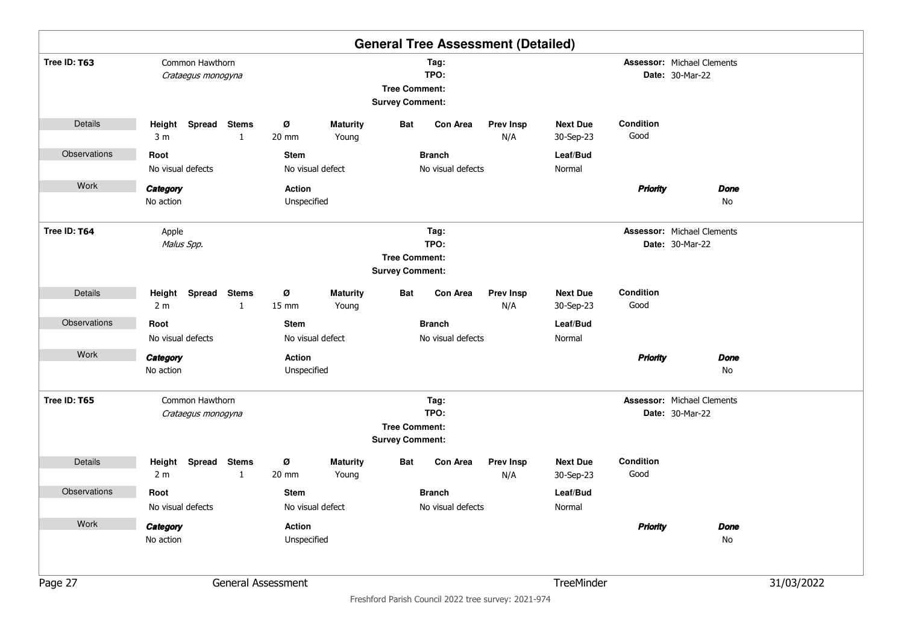|              |                                           |                              |                              |                          |                                                |                                    | <b>General Tree Assessment (Detailed)</b> |                              |                   |                                                             |            |
|--------------|-------------------------------------------|------------------------------|------------------------------|--------------------------|------------------------------------------------|------------------------------------|-------------------------------------------|------------------------------|-------------------|-------------------------------------------------------------|------------|
| Tree ID: T63 | Common Hawthorn<br>Crataegus monogyna     |                              |                              |                          | <b>Tree Comment:</b><br><b>Survey Comment:</b> | Tag:<br>TPO:                       |                                           |                              |                   |                                                             |            |
| Details      | Height<br>3 <sub>m</sub>                  | Spread Stems<br>$\mathbf{1}$ | ø<br>20 mm                   | <b>Maturity</b><br>Young | Bat                                            | <b>Con Area</b>                    | <b>Prev Insp</b><br>N/A                   | <b>Next Due</b><br>30-Sep-23 | Condition<br>Good |                                                             |            |
| Observations | Root<br>No visual defects                 |                              | <b>Stem</b>                  | No visual defect         |                                                | <b>Branch</b><br>No visual defects |                                           | Leaf/Bud<br>Normal           |                   |                                                             |            |
| Work         | Category<br>No action                     |                              | <b>Action</b><br>Unspecified |                          |                                                |                                    |                                           |                              | <b>Priority</b>   | <b>Done</b><br>No                                           |            |
| Tree ID: T64 | Apple<br>Malus Spp.                       |                              |                              |                          | <b>Tree Comment:</b><br><b>Survey Comment:</b> | Tag:<br>TPO:                       |                                           |                              |                   | <b>Assessor: Michael Clements</b><br>Date: 30-Mar-22        |            |
| Details      | Height Spread Stems<br>2 <sub>m</sub>     | $\mathbf{1}$                 | ø<br>$15 \text{ mm}$         | <b>Maturity</b><br>Young | Bat                                            | Con Area                           | <b>Prev Insp</b><br>N/A                   | <b>Next Due</b><br>30-Sep-23 | Condition<br>Good |                                                             |            |
| Observations | Root                                      |                              | <b>Stem</b>                  |                          |                                                | <b>Branch</b>                      |                                           | Leaf/Bud                     |                   |                                                             |            |
|              | No visual defects                         |                              |                              | No visual defect         |                                                | No visual defects                  |                                           | Normal                       |                   |                                                             |            |
| Work         | Category<br>No action                     |                              | <b>Action</b><br>Unspecified |                          |                                                |                                    |                                           |                              | <b>Priority</b>   | <b>Done</b><br>No                                           |            |
| Tree ID: T65 | Common Hawthorn<br>Crataegus monogyna     |                              |                              |                          | <b>Tree Comment:</b><br><b>Survey Comment:</b> | Tag:<br>TPO:                       |                                           |                              |                   | <b>Assessor: Michael Clements</b><br><b>Date: 30-Mar-22</b> |            |
| Details      | Height<br><b>Spread</b><br>2 <sub>m</sub> | <b>Stems</b><br>$\mathbf{1}$ | ø<br>20 mm                   | <b>Maturity</b><br>Young | Bat                                            | Con Area                           | <b>Prev Insp</b><br>N/A                   | <b>Next Due</b><br>30-Sep-23 | Condition<br>Good |                                                             |            |
| Observations | Root                                      |                              | <b>Stem</b>                  |                          |                                                | <b>Branch</b>                      |                                           | Leaf/Bud                     |                   |                                                             |            |
| Work         | No visual defects                         |                              |                              | No visual defect         |                                                | No visual defects                  |                                           | Normal                       |                   |                                                             |            |
|              | Category<br>No action                     |                              | Action<br>Unspecified        |                          |                                                |                                    |                                           |                              | <b>Priority</b>   | <b>Done</b><br>No                                           |            |
| Page 27      |                                           |                              | General Assessment           |                          |                                                |                                    |                                           | TreeMinder                   |                   |                                                             | 31/03/2022 |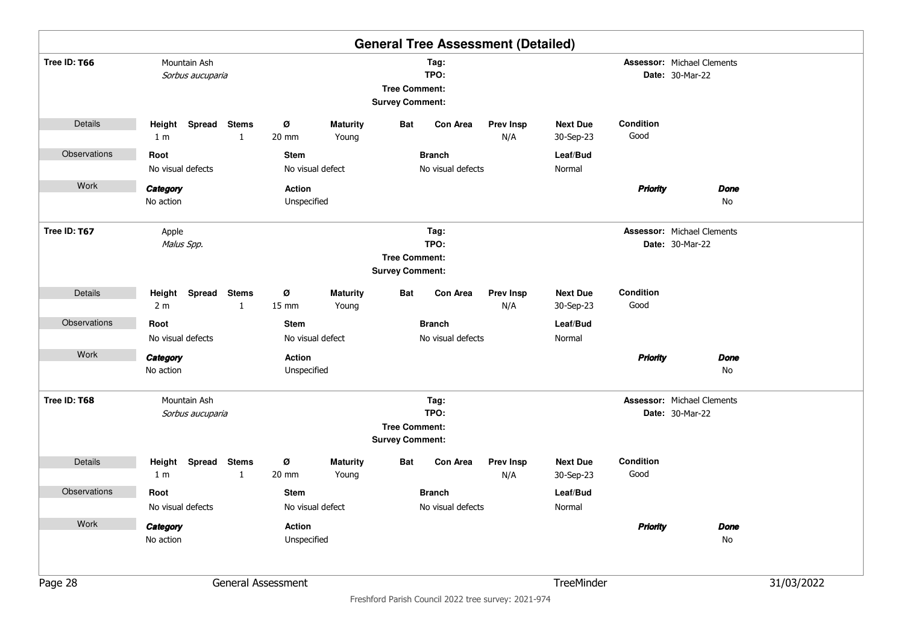|              |                                  |                                               |                    |                          |                                                |                   | <b>General Tree Assessment (Detailed)</b> |                              |                   |                                                      |            |
|--------------|----------------------------------|-----------------------------------------------|--------------------|--------------------------|------------------------------------------------|-------------------|-------------------------------------------|------------------------------|-------------------|------------------------------------------------------|------------|
| Tree ID: T66 | Mountain Ash<br>Sorbus aucuparia |                                               |                    |                          | <b>Tree Comment:</b><br><b>Survey Comment:</b> | Tag:<br>TPO:      |                                           |                              |                   |                                                      |            |
| Details      | Height<br>1 <sub>m</sub>         | Spread Stems<br>$\mathbf{1}$                  | ø<br>20 mm         | <b>Maturity</b><br>Young | Bat                                            | <b>Con Area</b>   | <b>Prev Insp</b><br>N/A                   | <b>Next Due</b><br>30-Sep-23 | Condition<br>Good |                                                      |            |
| Observations | Root                             |                                               | <b>Stem</b>        |                          |                                                | <b>Branch</b>     |                                           | Leaf/Bud                     |                   |                                                      |            |
|              | No visual defects                |                                               |                    | No visual defect         |                                                | No visual defects |                                           | Normal                       |                   |                                                      |            |
| Work         | Category                         |                                               | Action             |                          |                                                |                   |                                           |                              | <b>Priority</b>   | <b>Done</b>                                          |            |
|              | No action                        |                                               | Unspecified        |                          |                                                |                   |                                           |                              |                   | No                                                   |            |
| Tree ID: T67 | Apple<br>Malus Spp.              |                                               |                    |                          |                                                | Tag:<br>TPO:      |                                           |                              |                   | <b>Assessor: Michael Clements</b><br>Date: 30-Mar-22 |            |
|              |                                  |                                               |                    |                          | <b>Tree Comment:</b>                           |                   |                                           |                              |                   |                                                      |            |
|              |                                  |                                               |                    |                          | <b>Survey Comment:</b>                         |                   |                                           |                              |                   |                                                      |            |
| Details      | Height Spread Stems              |                                               | ø                  | <b>Maturity</b>          | Bat                                            | Con Area          | <b>Prev Insp</b>                          | <b>Next Due</b>              | Condition         |                                                      |            |
|              | 2 <sub>m</sub>                   | $\mathbf{1}$                                  | $15 \text{ mm}$    | Young                    |                                                |                   | N/A                                       | 30-Sep-23                    | Good              |                                                      |            |
| Observations | Root                             |                                               | <b>Stem</b>        |                          |                                                | <b>Branch</b>     |                                           | Leaf/Bud                     |                   |                                                      |            |
|              | No visual defects                |                                               |                    | No visual defect         |                                                | No visual defects |                                           | Normal                       |                   |                                                      |            |
| Work         | Category                         |                                               | <b>Action</b>      |                          |                                                |                   |                                           |                              | <b>Priority</b>   | <b>Done</b>                                          |            |
|              | No action                        |                                               | Unspecified        |                          |                                                |                   |                                           |                              |                   | No                                                   |            |
| Tree ID: T68 | Mountain Ash                     |                                               |                    |                          |                                                | Tag:              |                                           |                              |                   | <b>Assessor: Michael Clements</b>                    |            |
|              | Sorbus aucuparia                 |                                               |                    |                          |                                                | TPO:              |                                           |                              |                   | Date: 30-Mar-22                                      |            |
|              |                                  |                                               |                    |                          | <b>Tree Comment:</b><br><b>Survey Comment:</b> |                   |                                           |                              |                   |                                                      |            |
| Details      | Height<br>1 <sub>m</sub>         | <b>Spread</b><br><b>Stems</b><br>$\mathbf{1}$ | ø<br>20 mm         | <b>Maturity</b><br>Young | Bat                                            | Con Area          | <b>Prev Insp</b><br>N/A                   | <b>Next Due</b><br>30-Sep-23 | Condition<br>Good |                                                      |            |
| Observations | Root                             |                                               | <b>Stem</b>        |                          |                                                | <b>Branch</b>     |                                           | Leaf/Bud                     |                   |                                                      |            |
|              | No visual defects                |                                               |                    | No visual defect         |                                                | No visual defects |                                           | Normal                       |                   |                                                      |            |
| Work         | Category                         |                                               | Action             |                          |                                                |                   |                                           |                              | <b>Priority</b>   | <b>Done</b>                                          |            |
|              | No action                        |                                               | Unspecified        |                          |                                                |                   |                                           |                              |                   | No                                                   |            |
|              |                                  |                                               |                    |                          |                                                |                   |                                           |                              |                   |                                                      |            |
| Page 28      |                                  |                                               | General Assessment |                          |                                                |                   |                                           | TreeMinder                   |                   |                                                      | 31/03/2022 |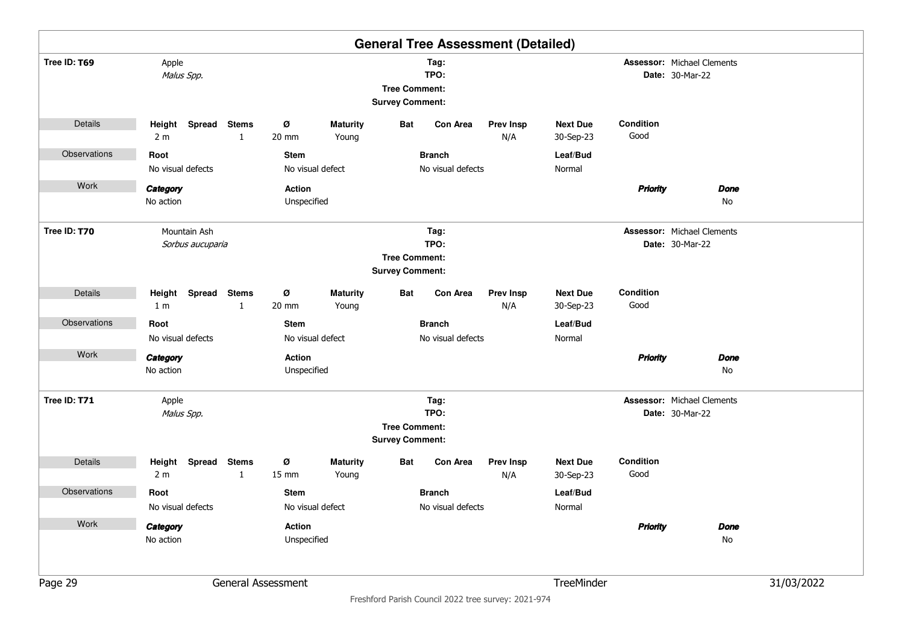|              |                          |                  |                   |                                                                |                          |                                                |                   | <b>General Tree Assessment (Detailed)</b> |                              |                                                             |                                                             |            |  |
|--------------|--------------------------|------------------|-------------------|----------------------------------------------------------------|--------------------------|------------------------------------------------|-------------------|-------------------------------------------|------------------------------|-------------------------------------------------------------|-------------------------------------------------------------|------------|--|
| Tree ID: T69 | Apple<br>Malus Spp.      |                  |                   | Tag:<br>TPO:<br><b>Tree Comment:</b><br><b>Survey Comment:</b> |                          |                                                |                   |                                           |                              | <b>Assessor: Michael Clements</b><br><b>Date: 30-Mar-22</b> |                                                             |            |  |
| Details      | Height<br>2 <sub>m</sub> | Spread Stems     | $\mathbf{1}$      | ø<br>20 mm                                                     | <b>Maturity</b><br>Young | Bat                                            | <b>Con Area</b>   | <b>Prev Insp</b><br>N/A                   | <b>Next Due</b><br>30-Sep-23 | Condition<br>Good                                           |                                                             |            |  |
| Observations | Root                     |                  |                   | <b>Stem</b>                                                    |                          |                                                | <b>Branch</b>     |                                           | Leaf/Bud                     |                                                             |                                                             |            |  |
|              | No visual defects        |                  |                   |                                                                | No visual defect         |                                                | No visual defects |                                           | Normal                       |                                                             |                                                             |            |  |
| Work         | Category                 |                  |                   | Action                                                         |                          |                                                |                   |                                           |                              | <b>Priority</b>                                             | <b>Done</b>                                                 |            |  |
|              | No action                |                  |                   | Unspecified                                                    |                          |                                                |                   |                                           |                              |                                                             | No                                                          |            |  |
| Tree ID: T70 | Mountain Ash             | Sorbus aucuparia |                   |                                                                |                          |                                                | Tag:<br>TPO:      |                                           |                              |                                                             | <b>Assessor: Michael Clements</b><br><b>Date: 30-Mar-22</b> |            |  |
|              |                          |                  |                   |                                                                |                          | <b>Tree Comment:</b>                           |                   |                                           |                              |                                                             |                                                             |            |  |
|              |                          |                  |                   |                                                                |                          | <b>Survey Comment:</b>                         |                   |                                           |                              |                                                             |                                                             |            |  |
| Details      | Height                   | Spread Stems     |                   | ø                                                              | <b>Maturity</b>          | Bat                                            | <b>Con Area</b>   | <b>Prev Insp</b>                          | <b>Next Due</b>              | Condition                                                   |                                                             |            |  |
|              | 1 <sub>m</sub>           |                  | $\mathbf{1}$      | 20 mm                                                          | Young                    |                                                |                   | N/A                                       | 30-Sep-23                    | Good                                                        |                                                             |            |  |
| Observations | Root                     |                  |                   | <b>Stem</b>                                                    |                          |                                                | <b>Branch</b>     |                                           | Leaf/Bud                     |                                                             |                                                             |            |  |
|              | No visual defects        |                  |                   |                                                                | No visual defect         |                                                | No visual defects |                                           | Normal                       |                                                             |                                                             |            |  |
| Work         | Category                 |                  |                   | <b>Action</b>                                                  |                          |                                                |                   |                                           |                              | <b>Priority</b>                                             | <b>Done</b>                                                 |            |  |
|              | No action                |                  |                   | Unspecified                                                    |                          |                                                |                   |                                           |                              |                                                             | No                                                          |            |  |
| Tree ID: T71 | Apple                    |                  |                   |                                                                |                          |                                                | Tag:              |                                           |                              |                                                             | <b>Assessor: Michael Clements</b>                           |            |  |
|              | Malus Spp.               |                  |                   |                                                                |                          |                                                | TPO:              |                                           |                              |                                                             | <b>Date: 30-Mar-22</b>                                      |            |  |
|              |                          |                  |                   |                                                                |                          | <b>Tree Comment:</b><br><b>Survey Comment:</b> |                   |                                           |                              |                                                             |                                                             |            |  |
| Details      | Height<br>2 <sub>m</sub> | <b>Spread</b>    | <b>Stems</b><br>1 | ø<br>$15 \text{ mm}$                                           | <b>Maturity</b><br>Young | Bat                                            | <b>Con Area</b>   | <b>Prev Insp</b><br>N/A                   | <b>Next Due</b><br>30-Sep-23 | Condition<br>Good                                           |                                                             |            |  |
| Observations | Root                     |                  |                   | <b>Stem</b>                                                    |                          |                                                | <b>Branch</b>     |                                           | Leaf/Bud                     |                                                             |                                                             |            |  |
|              | No visual defects        |                  |                   |                                                                | No visual defect         |                                                | No visual defects |                                           | Normal                       |                                                             |                                                             |            |  |
| Work         | Category                 |                  |                   | Action                                                         |                          |                                                |                   |                                           |                              | <b>Priority</b>                                             | <b>Done</b>                                                 |            |  |
|              | No action                |                  |                   | Unspecified                                                    |                          |                                                |                   |                                           |                              |                                                             | No                                                          |            |  |
|              |                          |                  |                   |                                                                |                          |                                                |                   |                                           |                              |                                                             |                                                             |            |  |
| Page 29      |                          |                  |                   | General Assessment                                             |                          |                                                |                   |                                           | TreeMinder                   |                                                             |                                                             | 31/03/2022 |  |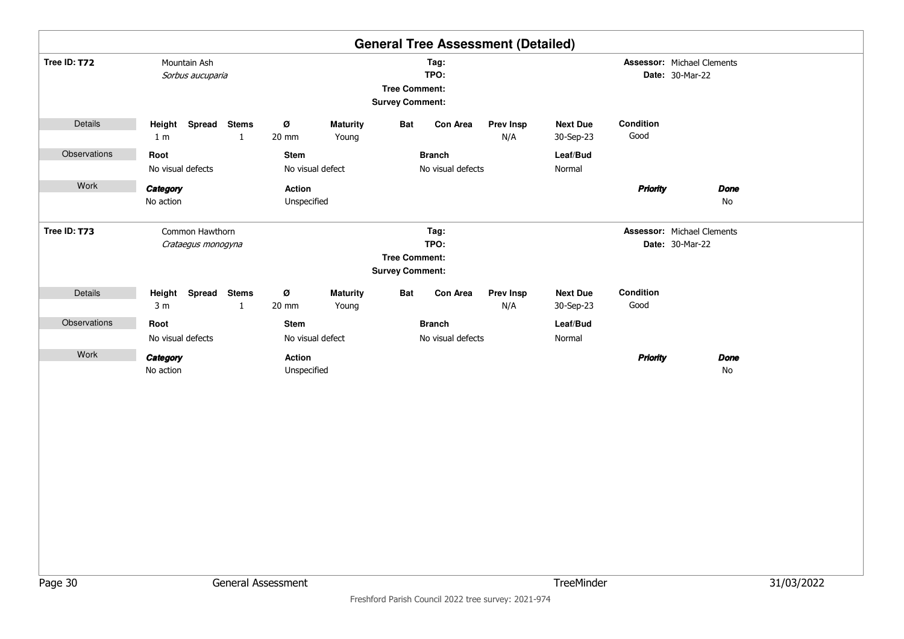|              |                                       |                              |                              |                                                                |                                                |                                    | <b>General Tree Assessment (Detailed)</b> |                              |                                                             |                   |  |
|--------------|---------------------------------------|------------------------------|------------------------------|----------------------------------------------------------------|------------------------------------------------|------------------------------------|-------------------------------------------|------------------------------|-------------------------------------------------------------|-------------------|--|
| Tree ID: T72 | Mountain Ash<br>Sorbus aucuparia      |                              |                              | Tag:<br>TPO:<br><b>Tree Comment:</b><br><b>Survey Comment:</b> |                                                |                                    |                                           |                              | <b>Assessor: Michael Clements</b><br><b>Date: 30-Mar-22</b> |                   |  |
| Details      | Height Spread<br>1 <sub>m</sub>       | <b>Stems</b><br>1            | Ø<br>20 mm                   | <b>Maturity</b><br>Young                                       | <b>Bat</b>                                     | <b>Con Area</b>                    | <b>Prev Insp</b><br>N/A                   | <b>Next Due</b><br>30-Sep-23 | Condition<br>Good                                           |                   |  |
| Observations | Root<br>No visual defects             |                              | <b>Stem</b>                  | No visual defect                                               |                                                | <b>Branch</b><br>No visual defects |                                           | Leaf/Bud<br>Normal           |                                                             |                   |  |
| Work         | Category<br>No action                 |                              | Action<br>Unspecified        |                                                                |                                                |                                    |                                           |                              | <b>Priority</b>                                             | <b>Done</b><br>No |  |
| Tree ID: T73 | Common Hawthorn<br>Crataegus monogyna |                              |                              |                                                                | <b>Tree Comment:</b><br><b>Survey Comment:</b> | Tag:<br>TPO:                       |                                           |                              | <b>Assessor: Michael Clements</b><br><b>Date: 30-Mar-22</b> |                   |  |
| Details      | Height Spread<br>3 <sub>m</sub>       | <b>Stems</b><br>$\mathbf{1}$ | Ø<br>20 mm                   | <b>Maturity</b><br>Young                                       | <b>Bat</b>                                     | Con Area                           | <b>Prev Insp</b><br>N/A                   | <b>Next Due</b><br>30-Sep-23 | Condition<br>Good                                           |                   |  |
| Observations | Root<br>No visual defects             |                              | <b>Stem</b>                  | No visual defect                                               |                                                | <b>Branch</b><br>No visual defects |                                           | Leaf/Bud<br>Normal           |                                                             |                   |  |
| Work         | Category<br>No action                 |                              | <b>Action</b><br>Unspecified |                                                                |                                                |                                    |                                           |                              | <b>Priority</b>                                             | <b>Done</b><br>No |  |
|              |                                       |                              |                              |                                                                |                                                |                                    |                                           |                              |                                                             |                   |  |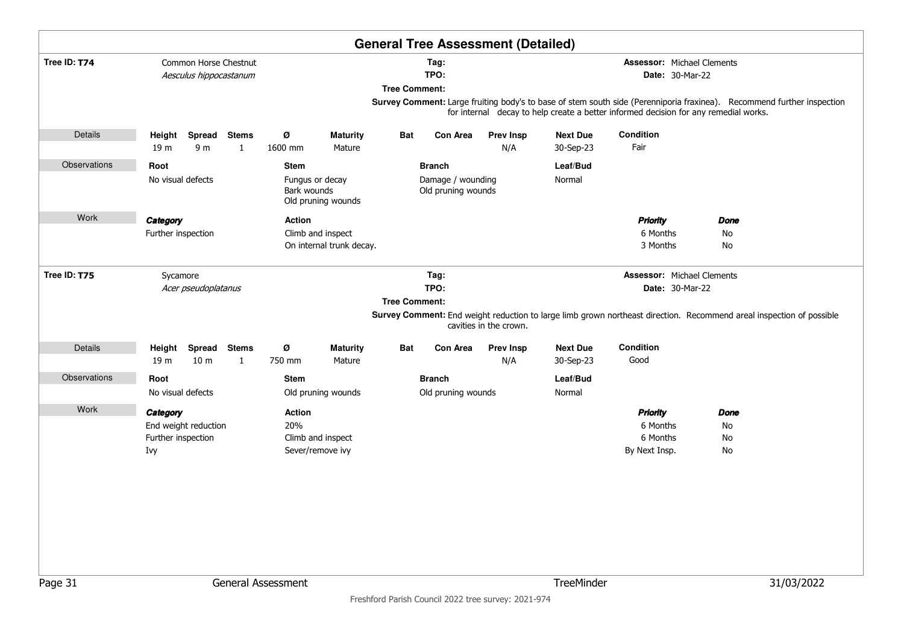|              |                    |                                                 |              |               |                                       |                      | <b>General Tree Assessment (Detailed)</b> |                        |                 |                                                                                                                                                                                                                |      |  |
|--------------|--------------------|-------------------------------------------------|--------------|---------------|---------------------------------------|----------------------|-------------------------------------------|------------------------|-----------------|----------------------------------------------------------------------------------------------------------------------------------------------------------------------------------------------------------------|------|--|
| Tree ID: T74 |                    | Common Horse Chestnut<br>Aesculus hippocastanum |              |               |                                       | <b>Tree Comment:</b> | Tag:<br>TPO:                              |                        |                 | <b>Assessor: Michael Clements</b><br>Date: 30-Mar-22                                                                                                                                                           |      |  |
|              |                    |                                                 |              |               |                                       |                      |                                           |                        |                 | Survey Comment: Large fruiting body's to base of stem south side (Perenniporia fraxinea). Recommend further inspection<br>for internal decay to help create a better informed decision for any remedial works. |      |  |
| Details      | Height             |                                                 | Spread Stems | Ø             | <b>Maturity</b>                       | Bat                  | Con Area                                  | <b>Prev Insp</b>       | <b>Next Due</b> | Condition                                                                                                                                                                                                      |      |  |
|              | 19 m               | 9 <sub>m</sub>                                  | $\mathbf{1}$ | 1600 mm       | Mature                                |                      |                                           | N/A                    | 30-Sep-23       | Fair                                                                                                                                                                                                           |      |  |
| Observations | Root               |                                                 |              | <b>Stem</b>   |                                       |                      | <b>Branch</b>                             |                        | Leaf/Bud        |                                                                                                                                                                                                                |      |  |
|              |                    | No visual defects                               |              | Bark wounds   | Fungus or decay<br>Old pruning wounds |                      | Damage / wounding<br>Old pruning wounds   |                        | Normal          |                                                                                                                                                                                                                |      |  |
| Work         | Category           |                                                 |              | <b>Action</b> |                                       |                      |                                           |                        |                 | <b>Priority</b>                                                                                                                                                                                                | Done |  |
|              | Further inspection |                                                 |              |               | Climb and inspect                     |                      |                                           |                        |                 | 6 Months                                                                                                                                                                                                       | No   |  |
|              |                    |                                                 |              |               | On internal trunk decay.              |                      |                                           |                        |                 | 3 Months                                                                                                                                                                                                       | No   |  |
| Tree ID: T75 | Sycamore           |                                                 |              |               |                                       |                      | Tag:                                      |                        |                 | Assessor: Michael Clements                                                                                                                                                                                     |      |  |
|              |                    | Acer pseudoplatanus                             |              |               |                                       |                      | TPO:                                      |                        |                 | Date: 30-Mar-22                                                                                                                                                                                                |      |  |
|              |                    |                                                 |              |               |                                       | <b>Tree Comment:</b> |                                           |                        |                 |                                                                                                                                                                                                                |      |  |
|              |                    |                                                 |              |               |                                       |                      |                                           | cavities in the crown. |                 | Survey Comment: End weight reduction to large limb grown northeast direction. Recommend areal inspection of possible                                                                                           |      |  |
| Details      | Height             |                                                 | Spread Stems | Ø             | <b>Maturity</b>                       | Bat                  | Con Area                                  | <b>Prev Insp</b>       | <b>Next Due</b> | Condition                                                                                                                                                                                                      |      |  |
|              | 19 m               | 10 <sub>m</sub>                                 | $\mathbf{1}$ | 750 mm        | Mature                                |                      |                                           | N/A                    | 30-Sep-23       | Good                                                                                                                                                                                                           |      |  |
| Observations | Root               |                                                 |              | <b>Stem</b>   |                                       |                      | <b>Branch</b>                             |                        | Leaf/Bud        |                                                                                                                                                                                                                |      |  |
|              |                    | No visual defects                               |              |               | Old pruning wounds                    |                      | Old pruning wounds                        |                        | Normal          |                                                                                                                                                                                                                |      |  |
| Work         | Category           |                                                 |              | <b>Action</b> |                                       |                      |                                           |                        |                 | <b>Priority</b>                                                                                                                                                                                                | Done |  |
|              |                    | End weight reduction                            |              | 20%           |                                       |                      |                                           |                        |                 | 6 Months                                                                                                                                                                                                       | No   |  |
|              | Further inspection |                                                 |              |               | Climb and inspect                     |                      |                                           |                        |                 | 6 Months                                                                                                                                                                                                       | No   |  |
|              | Ivy                |                                                 |              |               | Sever/remove ivy                      |                      |                                           |                        |                 | By Next Insp.                                                                                                                                                                                                  | No   |  |
|              |                    |                                                 |              |               |                                       |                      |                                           |                        |                 |                                                                                                                                                                                                                |      |  |
|              |                    |                                                 |              |               |                                       |                      |                                           |                        |                 |                                                                                                                                                                                                                |      |  |
|              |                    |                                                 |              |               |                                       |                      |                                           |                        |                 |                                                                                                                                                                                                                |      |  |
|              |                    |                                                 |              |               |                                       |                      |                                           |                        |                 |                                                                                                                                                                                                                |      |  |
|              |                    |                                                 |              |               |                                       |                      |                                           |                        |                 |                                                                                                                                                                                                                |      |  |
|              |                    |                                                 |              |               |                                       |                      |                                           |                        |                 |                                                                                                                                                                                                                |      |  |
|              |                    |                                                 |              |               |                                       |                      |                                           |                        |                 |                                                                                                                                                                                                                |      |  |
|              |                    |                                                 |              |               |                                       |                      |                                           |                        |                 |                                                                                                                                                                                                                |      |  |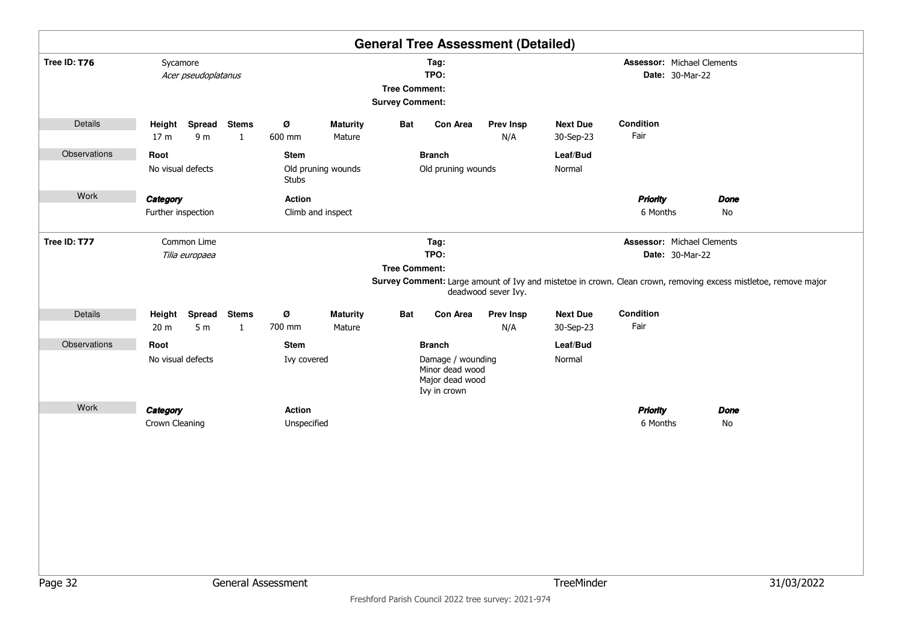|              |                                  |                               |                              |                              |                           |                                                |                                                                                          | <b>General Tree Assessment (Detailed)</b> |                                                      |                                                                                                                                                                         |                   |            |  |
|--------------|----------------------------------|-------------------------------|------------------------------|------------------------------|---------------------------|------------------------------------------------|------------------------------------------------------------------------------------------|-------------------------------------------|------------------------------------------------------|-------------------------------------------------------------------------------------------------------------------------------------------------------------------------|-------------------|------------|--|
| Tree ID: T76 | Sycamore<br>Acer pseudoplatanus  |                               |                              |                              |                           | <b>Tree Comment:</b><br><b>Survey Comment:</b> | Tag:<br>TPO:                                                                             |                                           | <b>Assessor: Michael Clements</b><br>Date: 30-Mar-22 |                                                                                                                                                                         |                   |            |  |
| Details      | Height Spread<br>17 <sub>m</sub> | 9 m                           | <b>Stems</b><br>$\mathbf{1}$ | Ø<br>600 mm                  | <b>Maturity</b><br>Mature | Bat                                            | <b>Con Area</b>                                                                          | <b>Prev Insp</b><br>N/A                   | <b>Next Due</b><br>30-Sep-23                         | Condition<br>Fair                                                                                                                                                       |                   |            |  |
| Observations | Root<br>No visual defects        |                               |                              | Stem<br>Stubs                | Old pruning wounds        |                                                | <b>Branch</b><br>Old pruning wounds                                                      |                                           | Leaf/Bud<br>Normal                                   |                                                                                                                                                                         |                   |            |  |
| Work         | Category<br>Further inspection   |                               |                              | <b>Action</b>                | Climb and inspect         |                                                |                                                                                          |                                           |                                                      | <b>Priority</b><br>6 Months                                                                                                                                             | <b>Done</b><br>No |            |  |
| Tree ID: T77 |                                  | Common Lime<br>Tilia europaea |                              |                              |                           | <b>Tree Comment:</b>                           | Tag:<br>TPO:                                                                             | deadwood sever Ivy.                       |                                                      | <b>Assessor: Michael Clements</b><br>Date: 30-Mar-22<br>Survey Comment: Large amount of Ivy and mistetoe in crown. Clean crown, removing excess mistletoe, remove major |                   |            |  |
| Details      | Height Spread<br>20 <sub>m</sub> | 5 <sub>m</sub>                | <b>Stems</b><br>$\mathbf{1}$ | Ø<br>700 mm                  | <b>Maturity</b><br>Mature | Bat                                            | <b>Con Area</b>                                                                          | <b>Prev Insp</b><br>N/A                   | <b>Next Due</b><br>30-Sep-23                         | Condition<br>Fair                                                                                                                                                       |                   |            |  |
| Observations | Root<br>No visual defects        |                               |                              | Stem<br>Ivy covered          |                           |                                                | <b>Branch</b><br>Damage / wounding<br>Minor dead wood<br>Major dead wood<br>Ivy in crown |                                           | Leaf/Bud<br>Normal                                   |                                                                                                                                                                         |                   |            |  |
| Work         | Category<br>Crown Cleaning       |                               |                              | <b>Action</b><br>Unspecified |                           |                                                |                                                                                          |                                           |                                                      | <b>Priority</b><br>6 Months                                                                                                                                             | Done<br>No        |            |  |
|              |                                  |                               |                              |                              |                           |                                                |                                                                                          |                                           |                                                      |                                                                                                                                                                         |                   |            |  |
| Page 32      |                                  |                               |                              | General Assessment           |                           |                                                |                                                                                          |                                           | TreeMinder                                           |                                                                                                                                                                         |                   | 31/03/2022 |  |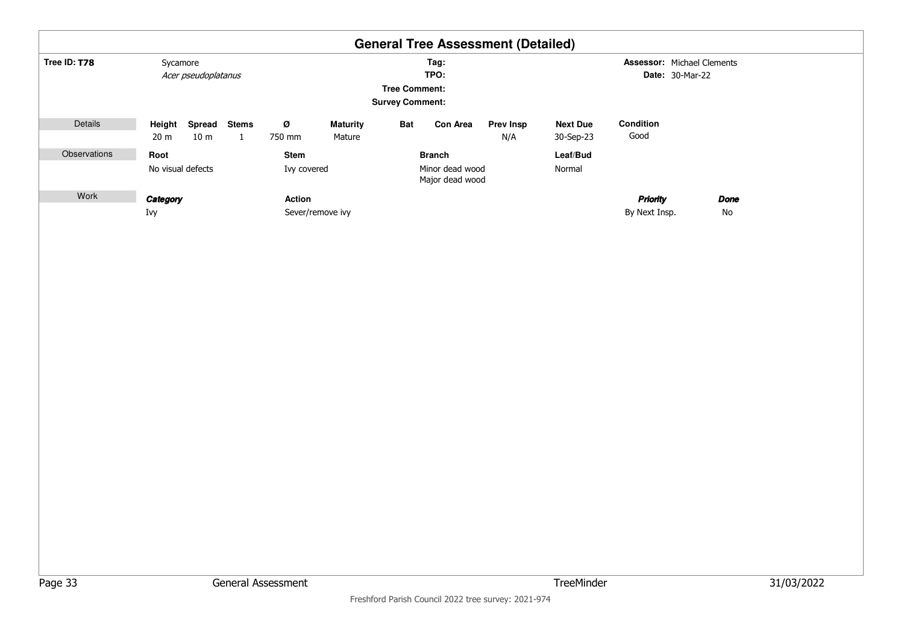|              |                   |                                  |                   |               |                           |                                                |                                    | <b>General Tree Assessment (Detailed)</b> |                              |                                   |                        |      |
|--------------|-------------------|----------------------------------|-------------------|---------------|---------------------------|------------------------------------------------|------------------------------------|-------------------------------------------|------------------------------|-----------------------------------|------------------------|------|
| Tree ID: T78 | Sycamore          |                                  |                   |               |                           |                                                | Tag:                               |                                           |                              | <b>Assessor: Michael Clements</b> |                        |      |
|              |                   | Acer pseudoplatanus              |                   |               |                           |                                                | TPO:                               |                                           |                              |                                   | <b>Date: 30-Mar-22</b> |      |
|              |                   |                                  |                   |               |                           | <b>Tree Comment:</b><br><b>Survey Comment:</b> |                                    |                                           |                              |                                   |                        |      |
| Details      | 20 <sub>m</sub>   | Height Spread<br>10 <sub>m</sub> | <b>Stems</b><br>1 | Ø<br>750 mm   | <b>Maturity</b><br>Mature | <b>Bat</b>                                     | Con Area                           | <b>Prev Insp</b><br>N/A                   | <b>Next Due</b><br>30-Sep-23 | Condition<br>Good                 |                        |      |
| Observations | Root              |                                  |                   | <b>Stem</b>   |                           |                                                | <b>Branch</b>                      |                                           | Leaf/Bud                     |                                   |                        |      |
|              | No visual defects |                                  |                   | Ivy covered   |                           |                                                | Minor dead wood<br>Major dead wood |                                           | Normal                       |                                   |                        |      |
| Work         | Category          |                                  |                   | <b>Action</b> |                           |                                                |                                    |                                           |                              | <b>Priority</b>                   |                        | Done |
|              | Ivy               |                                  |                   |               | Sever/remove ivy          |                                                |                                    |                                           |                              | By Next Insp.                     |                        | No   |